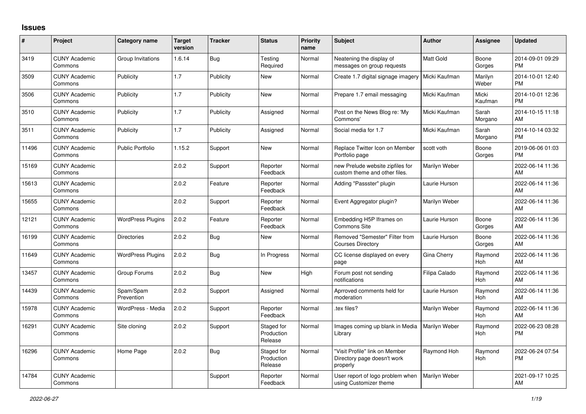## **Issues**

| #     | Project                         | <b>Category name</b>     | <b>Target</b><br>version | <b>Tracker</b> | <b>Status</b>                       | <b>Priority</b><br>name | <b>Subject</b>                                                            | <b>Author</b>    | <b>Assignee</b>       | <b>Updated</b>                |
|-------|---------------------------------|--------------------------|--------------------------|----------------|-------------------------------------|-------------------------|---------------------------------------------------------------------------|------------------|-----------------------|-------------------------------|
| 3419  | <b>CUNY Academic</b><br>Commons | Group Invitations        | 1.6.14                   | Bug            | Testing<br>Required                 | Normal                  | Neatening the display of<br>messages on group requests                    | <b>Matt Gold</b> | Boone<br>Gorges       | 2014-09-01 09:29<br><b>PM</b> |
| 3509  | <b>CUNY Academic</b><br>Commons | Publicity                | 1.7                      | Publicity      | New                                 | Normal                  | Create 1.7 digital signage imagery                                        | Micki Kaufman    | Marilyn<br>Weber      | 2014-10-01 12:40<br><b>PM</b> |
| 3506  | <b>CUNY Academic</b><br>Commons | Publicity                | 1.7                      | Publicity      | <b>New</b>                          | Normal                  | Prepare 1.7 email messaging                                               | Micki Kaufman    | Micki<br>Kaufman      | 2014-10-01 12:36<br><b>PM</b> |
| 3510  | <b>CUNY Academic</b><br>Commons | Publicity                | 1.7                      | Publicity      | Assigned                            | Normal                  | Post on the News Blog re: 'My<br>Commons'                                 | Micki Kaufman    | Sarah<br>Morgano      | 2014-10-15 11:18<br>AM        |
| 3511  | <b>CUNY Academic</b><br>Commons | Publicity                | 1.7                      | Publicity      | Assigned                            | Normal                  | Social media for 1.7                                                      | Micki Kaufman    | Sarah<br>Morgano      | 2014-10-14 03:32<br><b>PM</b> |
| 11496 | <b>CUNY Academic</b><br>Commons | <b>Public Portfolio</b>  | 1.15.2                   | Support        | <b>New</b>                          | Normal                  | Replace Twitter Icon on Member<br>Portfolio page                          | scott voth       | Boone<br>Gorges       | 2019-06-06 01:03<br><b>PM</b> |
| 15169 | <b>CUNY Academic</b><br>Commons |                          | 2.0.2                    | Support        | Reporter<br>Feedback                | Normal                  | new Prelude website zipfiles for<br>custom theme and other files.         | Marilyn Weber    |                       | 2022-06-14 11:36<br>AM        |
| 15613 | <b>CUNY Academic</b><br>Commons |                          | 2.0.2                    | Feature        | Reporter<br>Feedback                | Normal                  | Adding "Passster" plugin                                                  | Laurie Hurson    |                       | 2022-06-14 11:36<br>AM        |
| 15655 | <b>CUNY Academic</b><br>Commons |                          | 2.0.2                    | Support        | Reporter<br>Feedback                | Normal                  | Event Aggregator plugin?                                                  | Marilyn Weber    |                       | 2022-06-14 11:36<br>AM        |
| 12121 | <b>CUNY Academic</b><br>Commons | <b>WordPress Plugins</b> | 2.0.2                    | Feature        | Reporter<br>Feedback                | Normal                  | Embedding H5P Iframes on<br><b>Commons Site</b>                           | Laurie Hurson    | Boone<br>Gorges       | 2022-06-14 11:36<br>AM        |
| 16199 | <b>CUNY Academic</b><br>Commons | <b>Directories</b>       | 2.0.2                    | <b>Bug</b>     | New                                 | Normal                  | Removed "Semester" Filter from<br><b>Courses Directory</b>                | Laurie Hurson    | Boone<br>Gorges       | 2022-06-14 11:36<br>AM        |
| 11649 | <b>CUNY Academic</b><br>Commons | <b>WordPress Plugins</b> | 2.0.2                    | <b>Bug</b>     | In Progress                         | Normal                  | CC license displayed on every<br>page                                     | Gina Cherry      | Raymond<br>Hoh        | 2022-06-14 11:36<br>AM        |
| 13457 | <b>CUNY Academic</b><br>Commons | Group Forums             | 2.0.2                    | Bug            | <b>New</b>                          | High                    | Forum post not sending<br>notifications                                   | Filipa Calado    | Raymond<br><b>Hoh</b> | 2022-06-14 11:36<br>AM        |
| 14439 | <b>CUNY Academic</b><br>Commons | Spam/Spam<br>Prevention  | 2.0.2                    | Support        | Assigned                            | Normal                  | Aprroved comments held for<br>moderation                                  | Laurie Hurson    | Raymond<br>Hoh        | 2022-06-14 11:36<br>AM        |
| 15978 | <b>CUNY Academic</b><br>Commons | WordPress - Media        | 2.0.2                    | Support        | Reporter<br>Feedback                | Normal                  | tex files?                                                                | Marilyn Weber    | Raymond<br>Hoh        | 2022-06-14 11:36<br>AM        |
| 16291 | <b>CUNY Academic</b><br>Commons | Site cloning             | 2.0.2                    | Support        | Staged for<br>Production<br>Release | Normal                  | Images coming up blank in Media<br>Library                                | Marilyn Weber    | Raymond<br><b>Hoh</b> | 2022-06-23 08:28<br><b>PM</b> |
| 16296 | <b>CUNY Academic</b><br>Commons | Home Page                | 2.0.2                    | Bug            | Staged for<br>Production<br>Release | Normal                  | "Visit Profile" link on Member<br>Directory page doesn't work<br>properly | Raymond Hoh      | Raymond<br>Hoh        | 2022-06-24 07:54<br><b>PM</b> |
| 14784 | <b>CUNY Academic</b><br>Commons |                          |                          | Support        | Reporter<br>Feedback                | Normal                  | User report of logo problem when<br>using Customizer theme                | Marilyn Weber    |                       | 2021-09-17 10:25<br>AM        |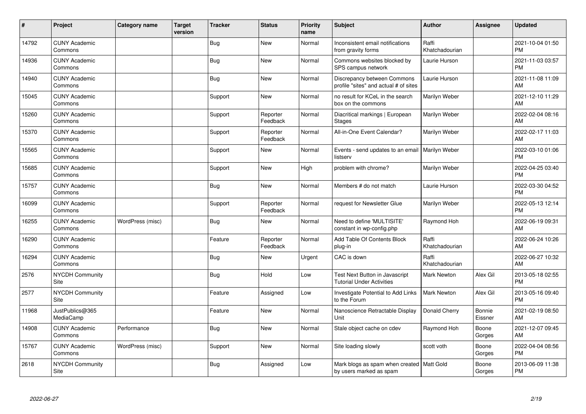| #     | Project                         | <b>Category name</b> | <b>Target</b><br>version | <b>Tracker</b> | <b>Status</b>        | Priority<br>name | <b>Subject</b>                                                         | <b>Author</b>           | <b>Assignee</b>   | <b>Updated</b>                |
|-------|---------------------------------|----------------------|--------------------------|----------------|----------------------|------------------|------------------------------------------------------------------------|-------------------------|-------------------|-------------------------------|
| 14792 | <b>CUNY Academic</b><br>Commons |                      |                          | <b>Bug</b>     | <b>New</b>           | Normal           | Inconsistent email notifications<br>from gravity forms                 | Raffi<br>Khatchadourian |                   | 2021-10-04 01:50<br><b>PM</b> |
| 14936 | <b>CUNY Academic</b><br>Commons |                      |                          | <b>Bug</b>     | <b>New</b>           | Normal           | Commons websites blocked by<br>SPS campus network                      | Laurie Hurson           |                   | 2021-11-03 03:57<br><b>PM</b> |
| 14940 | <b>CUNY Academic</b><br>Commons |                      |                          | Bug            | <b>New</b>           | Normal           | Discrepancy between Commons<br>profile "sites" and actual # of sites   | Laurie Hurson           |                   | 2021-11-08 11:09<br>AM        |
| 15045 | <b>CUNY Academic</b><br>Commons |                      |                          | Support        | <b>New</b>           | Normal           | no result for KCeL in the search<br>box on the commons                 | Marilyn Weber           |                   | 2021-12-10 11:29<br>AM        |
| 15260 | <b>CUNY Academic</b><br>Commons |                      |                          | Support        | Reporter<br>Feedback | Normal           | Diacritical markings   European<br><b>Stages</b>                       | Marilyn Weber           |                   | 2022-02-04 08:16<br>AM        |
| 15370 | <b>CUNY Academic</b><br>Commons |                      |                          | Support        | Reporter<br>Feedback | Normal           | All-in-One Event Calendar?                                             | Marilyn Weber           |                   | 2022-02-17 11:03<br>AM        |
| 15565 | <b>CUNY Academic</b><br>Commons |                      |                          | Support        | <b>New</b>           | Normal           | Events - send updates to an email<br>listserv                          | <b>Marilyn Weber</b>    |                   | 2022-03-10 01:06<br><b>PM</b> |
| 15685 | <b>CUNY Academic</b><br>Commons |                      |                          | Support        | <b>New</b>           | High             | problem with chrome?                                                   | Marilyn Weber           |                   | 2022-04-25 03:40<br><b>PM</b> |
| 15757 | <b>CUNY Academic</b><br>Commons |                      |                          | <b>Bug</b>     | <b>New</b>           | Normal           | Members # do not match                                                 | Laurie Hurson           |                   | 2022-03-30 04:52<br><b>PM</b> |
| 16099 | <b>CUNY Academic</b><br>Commons |                      |                          | Support        | Reporter<br>Feedback | Normal           | request for Newsletter Glue                                            | Marilyn Weber           |                   | 2022-05-13 12:14<br><b>PM</b> |
| 16255 | <b>CUNY Academic</b><br>Commons | WordPress (misc)     |                          | <b>Bug</b>     | <b>New</b>           | Normal           | Need to define 'MULTISITE'<br>constant in wp-config.php                | Raymond Hoh             |                   | 2022-06-19 09:31<br>AM        |
| 16290 | <b>CUNY Academic</b><br>Commons |                      |                          | Feature        | Reporter<br>Feedback | Normal           | Add Table Of Contents Block<br>plug-in                                 | Raffi<br>Khatchadourian |                   | 2022-06-24 10:26<br>AM        |
| 16294 | <b>CUNY Academic</b><br>Commons |                      |                          | <b>Bug</b>     | <b>New</b>           | Urgent           | CAC is down                                                            | Raffi<br>Khatchadourian |                   | 2022-06-27 10:32<br>AM        |
| 2576  | NYCDH Community<br>Site         |                      |                          | Bug            | Hold                 | Low              | Test Next Button in Javascript<br><b>Tutorial Under Activities</b>     | <b>Mark Newton</b>      | Alex Gil          | 2013-05-18 02:55<br><b>PM</b> |
| 2577  | <b>NYCDH Community</b><br>Site  |                      |                          | Feature        | Assigned             | Low              | Investigate Potential to Add Links<br>to the Forum                     | <b>Mark Newton</b>      | Alex Gil          | 2013-05-16 09:40<br><b>PM</b> |
| 11968 | JustPublics@365<br>MediaCamp    |                      |                          | Feature        | <b>New</b>           | Normal           | Nanoscience Retractable Display<br>Unit                                | Donald Cherry           | Bonnie<br>Eissner | 2021-02-19 08:50<br>AM        |
| 14908 | <b>CUNY Academic</b><br>Commons | Performance          |                          | <b>Bug</b>     | <b>New</b>           | Normal           | Stale object cache on cdev                                             | Raymond Hoh             | Boone<br>Gorges   | 2021-12-07 09:45<br>AM        |
| 15767 | <b>CUNY Academic</b><br>Commons | WordPress (misc)     |                          | Support        | New                  | Normal           | Site loading slowly                                                    | scott voth              | Boone<br>Gorges   | 2022-04-04 08:56<br><b>PM</b> |
| 2618  | <b>NYCDH Community</b><br>Site  |                      |                          | <b>Bug</b>     | Assigned             | Low              | Mark blogs as spam when created   Matt Gold<br>by users marked as spam |                         | Boone<br>Gorges   | 2013-06-09 11:38<br><b>PM</b> |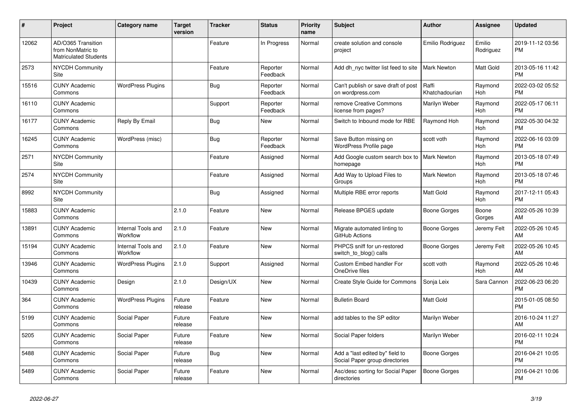| #     | Project                                                                 | <b>Category name</b>           | <b>Target</b><br>version | <b>Tracker</b> | <b>Status</b>        | <b>Priority</b><br>name | <b>Subject</b>                                                    | <b>Author</b>           | <b>Assignee</b>       | <b>Updated</b>                |
|-------|-------------------------------------------------------------------------|--------------------------------|--------------------------|----------------|----------------------|-------------------------|-------------------------------------------------------------------|-------------------------|-----------------------|-------------------------------|
| 12062 | AD/O365 Transition<br>from NonMatric to<br><b>Matriculated Students</b> |                                |                          | Feature        | In Progress          | Normal                  | create solution and console<br>project                            | Emilio Rodriguez        | Emilio<br>Rodriguez   | 2019-11-12 03:56<br><b>PM</b> |
| 2573  | <b>NYCDH Community</b><br>Site                                          |                                |                          | Feature        | Reporter<br>Feedback | Normal                  | Add dh nyc twitter list feed to site                              | Mark Newton             | Matt Gold             | 2013-05-16 11:42<br><b>PM</b> |
| 15516 | <b>CUNY Academic</b><br>Commons                                         | <b>WordPress Plugins</b>       |                          | Bug            | Reporter<br>Feedback | Normal                  | Can't publish or save draft of post<br>on wordpress.com           | Raffi<br>Khatchadourian | Raymond<br>Hoh        | 2022-03-02 05:52<br><b>PM</b> |
| 16110 | <b>CUNY Academic</b><br>Commons                                         |                                |                          | Support        | Reporter<br>Feedback | Normal                  | remove Creative Commons<br>license from pages?                    | Marilyn Weber           | Raymond<br>Hoh        | 2022-05-17 06:11<br><b>PM</b> |
| 16177 | <b>CUNY Academic</b><br>Commons                                         | Reply By Email                 |                          | <b>Bug</b>     | <b>New</b>           | Normal                  | Switch to Inbound mode for RBE                                    | Raymond Hoh             | Raymond<br><b>Hoh</b> | 2022-05-30 04:32<br><b>PM</b> |
| 16245 | <b>CUNY Academic</b><br>Commons                                         | WordPress (misc)               |                          | Bug            | Reporter<br>Feedback | Normal                  | Save Button missing on<br>WordPress Profile page                  | scott voth              | Raymond<br>Hoh        | 2022-06-16 03:09<br><b>PM</b> |
| 2571  | <b>NYCDH Community</b><br>Site                                          |                                |                          | Feature        | Assigned             | Normal                  | Add Google custom search box to<br>homepage                       | <b>Mark Newton</b>      | Raymond<br>Hoh        | 2013-05-18 07:49<br><b>PM</b> |
| 2574  | NYCDH Community<br>Site                                                 |                                |                          | Feature        | Assigned             | Normal                  | Add Way to Upload Files to<br>Groups                              | Mark Newton             | Raymond<br><b>Hoh</b> | 2013-05-18 07:46<br><b>PM</b> |
| 8992  | <b>NYCDH Community</b><br>Site                                          |                                |                          | Bug            | Assigned             | Normal                  | Multiple RBE error reports                                        | Matt Gold               | Raymond<br><b>Hoh</b> | 2017-12-11 05:43<br><b>PM</b> |
| 15883 | <b>CUNY Academic</b><br>Commons                                         |                                | 2.1.0                    | Feature        | <b>New</b>           | Normal                  | Release BPGES update                                              | Boone Gorges            | Boone<br>Gorges       | 2022-05-26 10:39<br>AM        |
| 13891 | <b>CUNY Academic</b><br>Commons                                         | Internal Tools and<br>Workflow | 2.1.0                    | Feature        | <b>New</b>           | Normal                  | Migrate automated linting to<br>GitHub Actions                    | Boone Gorges            | Jeremy Felt           | 2022-05-26 10:45<br>AM        |
| 15194 | <b>CUNY Academic</b><br>Commons                                         | Internal Tools and<br>Workflow | 2.1.0                    | Feature        | <b>New</b>           | Normal                  | PHPCS sniff for un-restored<br>switch to blog() calls             | Boone Gorges            | Jeremy Felt           | 2022-05-26 10:45<br>AM        |
| 13946 | <b>CUNY Academic</b><br>Commons                                         | <b>WordPress Plugins</b>       | 2.1.0                    | Support        | Assigned             | Normal                  | Custom Embed handler For<br>OneDrive files                        | scott voth              | Raymond<br>Hoh        | 2022-05-26 10:46<br>AM        |
| 10439 | <b>CUNY Academic</b><br>Commons                                         | Design                         | 2.1.0                    | Design/UX      | <b>New</b>           | Normal                  | Create Style Guide for Commons                                    | Sonja Leix              | Sara Cannon           | 2022-06-23 06:20<br><b>PM</b> |
| 364   | <b>CUNY Academic</b><br>Commons                                         | <b>WordPress Plugins</b>       | Future<br>release        | Feature        | <b>New</b>           | Normal                  | <b>Bulletin Board</b>                                             | <b>Matt Gold</b>        |                       | 2015-01-05 08:50<br><b>PM</b> |
| 5199  | <b>CUNY Academic</b><br>Commons                                         | Social Paper                   | Future<br>release        | Feature        | New                  | Normal                  | add tables to the SP editor                                       | Marilyn Weber           |                       | 2016-10-24 11:27<br>AM        |
| 5205  | <b>CUNY Academic</b><br>Commons                                         | Social Paper                   | Future<br>release        | Feature        | <b>New</b>           | Normal                  | Social Paper folders                                              | Marilyn Weber           |                       | 2016-02-11 10:24<br><b>PM</b> |
| 5488  | <b>CUNY Academic</b><br>Commons                                         | Social Paper                   | Future<br>release        | Bug            | <b>New</b>           | Normal                  | Add a "last edited by" field to<br>Social Paper group directories | Boone Gorges            |                       | 2016-04-21 10:05<br><b>PM</b> |
| 5489  | <b>CUNY Academic</b><br>Commons                                         | Social Paper                   | Future<br>release        | Feature        | <b>New</b>           | Normal                  | Asc/desc sorting for Social Paper<br>directories                  | Boone Gorges            |                       | 2016-04-21 10:06<br><b>PM</b> |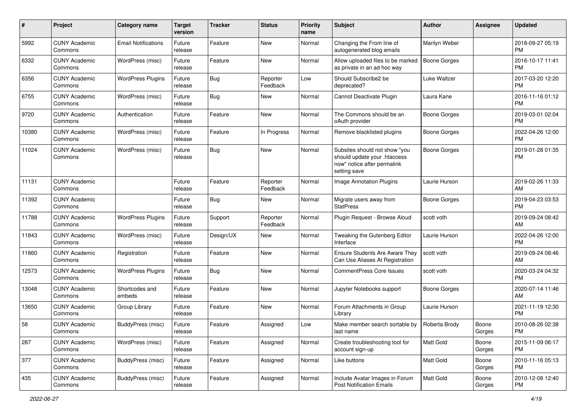| #     | Project                         | <b>Category name</b>       | <b>Target</b><br>version | <b>Tracker</b> | <b>Status</b>        | <b>Priority</b><br>name | <b>Subject</b>                                                                                               | <b>Author</b>       | <b>Assignee</b> | <b>Updated</b>                |
|-------|---------------------------------|----------------------------|--------------------------|----------------|----------------------|-------------------------|--------------------------------------------------------------------------------------------------------------|---------------------|-----------------|-------------------------------|
| 5992  | <b>CUNY Academic</b><br>Commons | <b>Email Notifications</b> | Future<br>release        | Feature        | <b>New</b>           | Normal                  | Changing the From line of<br>autogenerated blog emails                                                       | Marilyn Weber       |                 | 2018-09-27 05:19<br><b>PM</b> |
| 6332  | <b>CUNY Academic</b><br>Commons | WordPress (misc)           | Future<br>release        | Feature        | <b>New</b>           | Normal                  | Allow uploaded files to be marked<br>as private in an ad hoc way                                             | <b>Boone Gorges</b> |                 | 2016-10-17 11:41<br><b>PM</b> |
| 6356  | <b>CUNY Academic</b><br>Commons | <b>WordPress Plugins</b>   | Future<br>release        | <b>Bug</b>     | Reporter<br>Feedback | Low                     | Should Subscribe2 be<br>deprecated?                                                                          | Luke Waltzer        |                 | 2017-03-20 12:20<br><b>PM</b> |
| 6755  | <b>CUNY Academic</b><br>Commons | WordPress (misc)           | Future<br>release        | Bug            | New                  | Normal                  | Cannot Deactivate Plugin                                                                                     | Laura Kane          |                 | 2016-11-16 01:12<br><b>PM</b> |
| 9720  | <b>CUNY Academic</b><br>Commons | Authentication             | Future<br>release        | Feature        | <b>New</b>           | Normal                  | The Commons should be an<br>oAuth provider                                                                   | <b>Boone Gorges</b> |                 | 2019-03-01 02:04<br><b>PM</b> |
| 10380 | <b>CUNY Academic</b><br>Commons | WordPress (misc)           | Future<br>release        | Feature        | In Progress          | Normal                  | Remove blacklisted plugins                                                                                   | <b>Boone Gorges</b> |                 | 2022-04-26 12:00<br><b>PM</b> |
| 11024 | <b>CUNY Academic</b><br>Commons | WordPress (misc)           | Future<br>release        | <b>Bug</b>     | New                  | Normal                  | Subsites should not show "you<br>should update your .htaccess<br>now" notice after permalink<br>setting save | <b>Boone Gorges</b> |                 | 2019-01-28 01:35<br><b>PM</b> |
| 11131 | <b>CUNY Academic</b><br>Commons |                            | Future<br>release        | Feature        | Reporter<br>Feedback | Normal                  | <b>Image Annotation Plugins</b>                                                                              | Laurie Hurson       |                 | 2019-02-26 11:33<br>AM        |
| 11392 | <b>CUNY Academic</b><br>Commons |                            | Future<br>release        | <b>Bug</b>     | <b>New</b>           | Normal                  | Migrate users away from<br><b>StatPress</b>                                                                  | <b>Boone Gorges</b> |                 | 2019-04-23 03:53<br><b>PM</b> |
| 11788 | <b>CUNY Academic</b><br>Commons | <b>WordPress Plugins</b>   | Future<br>release        | Support        | Reporter<br>Feedback | Normal                  | Plugin Request - Browse Aloud                                                                                | scott voth          |                 | 2019-09-24 08:42<br>AM        |
| 11843 | <b>CUNY Academic</b><br>Commons | WordPress (misc)           | Future<br>release        | Design/UX      | New                  | Normal                  | Tweaking the Gutenberg Editor<br>Interface                                                                   | Laurie Hurson       |                 | 2022-04-26 12:00<br><b>PM</b> |
| 11860 | <b>CUNY Academic</b><br>Commons | Registration               | Future<br>release        | Feature        | <b>New</b>           | Normal                  | Ensure Students Are Aware They<br>Can Use Aliases At Registration                                            | scott voth          |                 | 2019-09-24 08:46<br>AM        |
| 12573 | <b>CUNY Academic</b><br>Commons | <b>WordPress Plugins</b>   | Future<br>release        | Bug            | New                  | Normal                  | <b>CommentPress Core Issues</b>                                                                              | scott voth          |                 | 2020-03-24 04:32<br><b>PM</b> |
| 13048 | <b>CUNY Academic</b><br>Commons | Shortcodes and<br>embeds   | Future<br>release        | Feature        | <b>New</b>           | Normal                  | Jupyter Notebooks support                                                                                    | <b>Boone Gorges</b> |                 | 2020-07-14 11:46<br>AM        |
| 13650 | <b>CUNY Academic</b><br>Commons | Group Library              | Future<br>release        | Feature        | <b>New</b>           | Normal                  | Forum Attachments in Group<br>Library                                                                        | Laurie Hurson       |                 | 2021-11-19 12:30<br><b>PM</b> |
| 58    | <b>CUNY Academic</b><br>Commons | BuddyPress (misc)          | Future<br>release        | Feature        | Assigned             | Low                     | Make member search sortable by<br>last name                                                                  | Roberta Brody       | Boone<br>Gorges | 2010-08-26 02:38<br>PM        |
| 287   | <b>CUNY Academic</b><br>Commons | WordPress (misc)           | Future<br>release        | Feature        | Assigned             | Normal                  | Create troubleshooting tool for<br>account sign-up                                                           | Matt Gold           | Boone<br>Gorges | 2015-11-09 06:17<br><b>PM</b> |
| 377   | <b>CUNY Academic</b><br>Commons | BuddyPress (misc)          | Future<br>release        | Feature        | Assigned             | Normal                  | Like buttons                                                                                                 | Matt Gold           | Boone<br>Gorges | 2010-11-16 05:13<br><b>PM</b> |
| 435   | <b>CUNY Academic</b><br>Commons | BuddyPress (misc)          | Future<br>release        | Feature        | Assigned             | Normal                  | Include Avatar Images in Forum<br><b>Post Notification Emails</b>                                            | Matt Gold           | Boone<br>Gorges | 2010-12-08 12:40<br>PM        |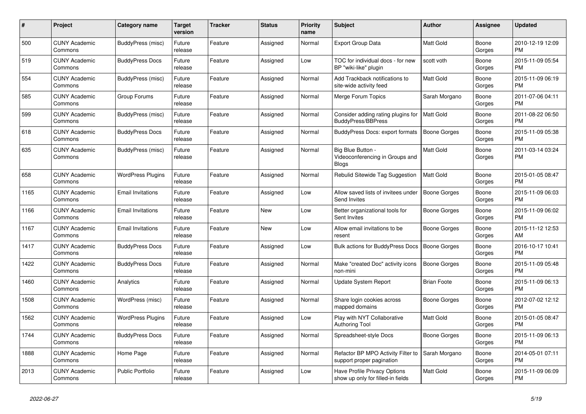| $\#$ | Project                         | Category name            | <b>Target</b><br>version | <b>Tracker</b> | <b>Status</b> | <b>Priority</b><br>name | <b>Subject</b>                                                       | <b>Author</b>       | <b>Assignee</b> | <b>Updated</b>                |
|------|---------------------------------|--------------------------|--------------------------|----------------|---------------|-------------------------|----------------------------------------------------------------------|---------------------|-----------------|-------------------------------|
| 500  | <b>CUNY Academic</b><br>Commons | BuddyPress (misc)        | Future<br>release        | Feature        | Assigned      | Normal                  | <b>Export Group Data</b>                                             | <b>Matt Gold</b>    | Boone<br>Gorges | 2010-12-19 12:09<br><b>PM</b> |
| 519  | <b>CUNY Academic</b><br>Commons | <b>BuddyPress Docs</b>   | Future<br>release        | Feature        | Assigned      | Low                     | TOC for individual docs - for new<br>BP "wiki-like" plugin           | scott voth          | Boone<br>Gorges | 2015-11-09 05:54<br><b>PM</b> |
| 554  | <b>CUNY Academic</b><br>Commons | BuddyPress (misc)        | Future<br>release        | Feature        | Assigned      | Normal                  | Add Trackback notifications to<br>site-wide activity feed            | Matt Gold           | Boone<br>Gorges | 2015-11-09 06:19<br><b>PM</b> |
| 585  | <b>CUNY Academic</b><br>Commons | Group Forums             | Future<br>release        | Feature        | Assigned      | Normal                  | Merge Forum Topics                                                   | Sarah Morgano       | Boone<br>Gorges | 2011-07-06 04:11<br><b>PM</b> |
| 599  | <b>CUNY Academic</b><br>Commons | BuddyPress (misc)        | Future<br>release        | Feature        | Assigned      | Normal                  | Consider adding rating plugins for<br><b>BuddyPress/BBPress</b>      | <b>Matt Gold</b>    | Boone<br>Gorges | 2011-08-22 06:50<br><b>PM</b> |
| 618  | <b>CUNY Academic</b><br>Commons | <b>BuddyPress Docs</b>   | Future<br>release        | Feature        | Assigned      | Normal                  | BuddyPress Docs: export formats                                      | <b>Boone Gorges</b> | Boone<br>Gorges | 2015-11-09 05:38<br><b>PM</b> |
| 635  | <b>CUNY Academic</b><br>Commons | BuddyPress (misc)        | Future<br>release        | Feature        | Assigned      | Normal                  | Big Blue Button -<br>Videoconferencing in Groups and<br><b>Blogs</b> | <b>Matt Gold</b>    | Boone<br>Gorges | 2011-03-14 03:24<br><b>PM</b> |
| 658  | <b>CUNY Academic</b><br>Commons | <b>WordPress Plugins</b> | Future<br>release        | Feature        | Assigned      | Normal                  | Rebulid Sitewide Tag Suggestion                                      | Matt Gold           | Boone<br>Gorges | 2015-01-05 08:47<br><b>PM</b> |
| 1165 | <b>CUNY Academic</b><br>Commons | <b>Email Invitations</b> | Future<br>release        | Feature        | Assigned      | Low                     | Allow saved lists of invitees under<br>Send Invites                  | <b>Boone Gorges</b> | Boone<br>Gorges | 2015-11-09 06:03<br><b>PM</b> |
| 1166 | <b>CUNY Academic</b><br>Commons | <b>Email Invitations</b> | Future<br>release        | Feature        | <b>New</b>    | Low                     | Better organizational tools for<br>Sent Invites                      | Boone Gorges        | Boone<br>Gorges | 2015-11-09 06:02<br><b>PM</b> |
| 1167 | <b>CUNY Academic</b><br>Commons | <b>Email Invitations</b> | Future<br>release        | Feature        | <b>New</b>    | Low                     | Allow email invitations to be<br>resent                              | Boone Gorges        | Boone<br>Gorges | 2015-11-12 12:53<br>AM        |
| 1417 | <b>CUNY Academic</b><br>Commons | <b>BuddyPress Docs</b>   | Future<br>release        | Feature        | Assigned      | Low                     | Bulk actions for BuddyPress Docs                                     | <b>Boone Gorges</b> | Boone<br>Gorges | 2016-10-17 10:41<br><b>PM</b> |
| 1422 | <b>CUNY Academic</b><br>Commons | <b>BuddyPress Docs</b>   | Future<br>release        | Feature        | Assigned      | Normal                  | Make "created Doc" activity icons<br>non-mini                        | <b>Boone Gorges</b> | Boone<br>Gorges | 2015-11-09 05:48<br><b>PM</b> |
| 1460 | <b>CUNY Academic</b><br>Commons | Analytics                | Future<br>release        | Feature        | Assigned      | Normal                  | Update System Report                                                 | <b>Brian Foote</b>  | Boone<br>Gorges | 2015-11-09 06:13<br><b>PM</b> |
| 1508 | <b>CUNY Academic</b><br>Commons | WordPress (misc)         | Future<br>release        | Feature        | Assigned      | Normal                  | Share login cookies across<br>mapped domains                         | Boone Gorges        | Boone<br>Gorges | 2012-07-02 12:12<br><b>PM</b> |
| 1562 | <b>CUNY Academic</b><br>Commons | <b>WordPress Plugins</b> | Future<br>release        | Feature        | Assigned      | Low                     | Play with NYT Collaborative<br><b>Authoring Tool</b>                 | <b>Matt Gold</b>    | Boone<br>Gorges | 2015-01-05 08:47<br><b>PM</b> |
| 1744 | <b>CUNY Academic</b><br>Commons | <b>BuddyPress Docs</b>   | Future<br>release        | Feature        | Assigned      | Normal                  | Spreadsheet-style Docs                                               | Boone Gorges        | Boone<br>Gorges | 2015-11-09 06:13<br><b>PM</b> |
| 1888 | <b>CUNY Academic</b><br>Commons | Home Page                | Future<br>release        | Feature        | Assigned      | Normal                  | Refactor BP MPO Activity Filter to<br>support proper pagination      | Sarah Morgano       | Boone<br>Gorges | 2014-05-01 07:11<br><b>PM</b> |
| 2013 | <b>CUNY Academic</b><br>Commons | Public Portfolio         | Future<br>release        | Feature        | Assigned      | Low                     | Have Profile Privacy Options<br>show up only for filled-in fields    | <b>Matt Gold</b>    | Boone<br>Gorges | 2015-11-09 06:09<br><b>PM</b> |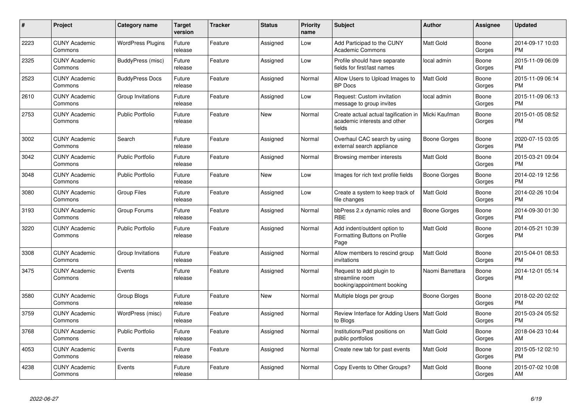| #    | Project                         | <b>Category name</b>     | <b>Target</b><br>version | <b>Tracker</b> | <b>Status</b> | <b>Priority</b><br>name | <b>Subject</b>                                                                 | <b>Author</b>    | Assignee        | <b>Updated</b>                |
|------|---------------------------------|--------------------------|--------------------------|----------------|---------------|-------------------------|--------------------------------------------------------------------------------|------------------|-----------------|-------------------------------|
| 2223 | <b>CUNY Academic</b><br>Commons | <b>WordPress Plugins</b> | Future<br>release        | Feature        | Assigned      | Low                     | Add Participad to the CUNY<br><b>Academic Commons</b>                          | <b>Matt Gold</b> | Boone<br>Gorges | 2014-09-17 10:03<br><b>PM</b> |
| 2325 | <b>CUNY Academic</b><br>Commons | BuddyPress (misc)        | Future<br>release        | Feature        | Assigned      | Low                     | Profile should have separate<br>fields for first/last names                    | local admin      | Boone<br>Gorges | 2015-11-09 06:09<br><b>PM</b> |
| 2523 | <b>CUNY Academic</b><br>Commons | <b>BuddyPress Docs</b>   | Future<br>release        | Feature        | Assigned      | Normal                  | Allow Users to Upload Images to<br><b>BP</b> Docs                              | <b>Matt Gold</b> | Boone<br>Gorges | 2015-11-09 06:14<br><b>PM</b> |
| 2610 | <b>CUNY Academic</b><br>Commons | Group Invitations        | Future<br>release        | Feature        | Assigned      | Low                     | Request: Custom invitation<br>message to group invites                         | local admin      | Boone<br>Gorges | 2015-11-09 06:13<br><b>PM</b> |
| 2753 | <b>CUNY Academic</b><br>Commons | <b>Public Portfolio</b>  | Future<br>release        | Feature        | <b>New</b>    | Normal                  | Create actual actual tagification in<br>academic interests and other<br>fields | Micki Kaufman    | Boone<br>Gorges | 2015-01-05 08:52<br><b>PM</b> |
| 3002 | <b>CUNY Academic</b><br>Commons | Search                   | Future<br>release        | Feature        | Assigned      | Normal                  | Overhaul CAC search by using<br>external search appliance                      | Boone Gorges     | Boone<br>Gorges | 2020-07-15 03:05<br><b>PM</b> |
| 3042 | <b>CUNY Academic</b><br>Commons | <b>Public Portfolio</b>  | Future<br>release        | Feature        | Assigned      | Normal                  | Browsing member interests                                                      | Matt Gold        | Boone<br>Gorges | 2015-03-21 09:04<br><b>PM</b> |
| 3048 | <b>CUNY Academic</b><br>Commons | <b>Public Portfolio</b>  | Future<br>release        | Feature        | New           | Low                     | Images for rich text profile fields                                            | Boone Gorges     | Boone<br>Gorges | 2014-02-19 12:56<br><b>PM</b> |
| 3080 | <b>CUNY Academic</b><br>Commons | <b>Group Files</b>       | Future<br>release        | Feature        | Assigned      | Low                     | Create a system to keep track of<br>file changes                               | Matt Gold        | Boone<br>Gorges | 2014-02-26 10:04<br><b>PM</b> |
| 3193 | <b>CUNY Academic</b><br>Commons | Group Forums             | Future<br>release        | Feature        | Assigned      | Normal                  | bbPress 2.x dynamic roles and<br><b>RBE</b>                                    | Boone Gorges     | Boone<br>Gorges | 2014-09-30 01:30<br><b>PM</b> |
| 3220 | <b>CUNY Academic</b><br>Commons | <b>Public Portfolio</b>  | Future<br>release        | Feature        | Assigned      | Normal                  | Add indent/outdent option to<br>Formatting Buttons on Profile<br>Page          | Matt Gold        | Boone<br>Gorges | 2014-05-21 10:39<br><b>PM</b> |
| 3308 | <b>CUNY Academic</b><br>Commons | Group Invitations        | Future<br>release        | Feature        | Assigned      | Normal                  | Allow members to rescind group<br>invitations                                  | Matt Gold        | Boone<br>Gorges | 2015-04-01 08:53<br><b>PM</b> |
| 3475 | <b>CUNY Academic</b><br>Commons | Events                   | Future<br>release        | Feature        | Assigned      | Normal                  | Request to add plugin to<br>streamline room<br>booking/appointment booking     | Naomi Barrettara | Boone<br>Gorges | 2014-12-01 05:14<br><b>PM</b> |
| 3580 | <b>CUNY Academic</b><br>Commons | Group Blogs              | Future<br>release        | Feature        | <b>New</b>    | Normal                  | Multiple blogs per group                                                       | Boone Gorges     | Boone<br>Gorges | 2018-02-20 02:02<br><b>PM</b> |
| 3759 | <b>CUNY Academic</b><br>Commons | WordPress (misc)         | Future<br>release        | Feature        | Assigned      | Normal                  | Review Interface for Adding Users   Matt Gold<br>to Bloas                      |                  | Boone<br>Gorges | 2015-03-24 05:52<br><b>PM</b> |
| 3768 | <b>CUNY Academic</b><br>Commons | Public Portfolio         | Future<br>release        | Feature        | Assigned      | Normal                  | Institutions/Past positions on<br>public portfolios                            | Matt Gold        | Boone<br>Gorges | 2018-04-23 10:44<br>AM        |
| 4053 | <b>CUNY Academic</b><br>Commons | Events                   | Future<br>release        | Feature        | Assigned      | Normal                  | Create new tab for past events                                                 | Matt Gold        | Boone<br>Gorges | 2015-05-12 02:10<br><b>PM</b> |
| 4238 | <b>CUNY Academic</b><br>Commons | Events                   | Future<br>release        | Feature        | Assigned      | Normal                  | Copy Events to Other Groups?                                                   | Matt Gold        | Boone<br>Gorges | 2015-07-02 10:08<br>AM        |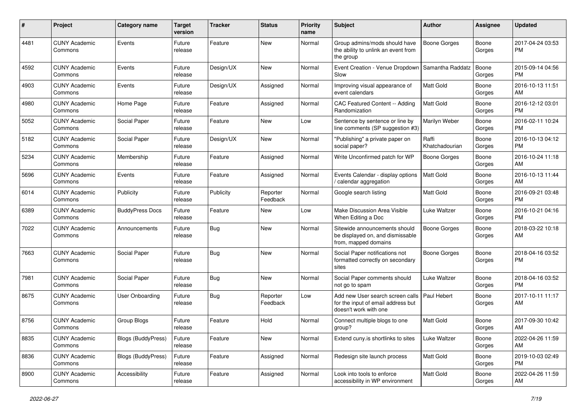| #    | Project                         | <b>Category name</b>   | <b>Target</b><br>version | <b>Tracker</b> | <b>Status</b>        | <b>Priority</b><br>name | <b>Subject</b>                                                                                  | Author                  | <b>Assignee</b> | <b>Updated</b>                |
|------|---------------------------------|------------------------|--------------------------|----------------|----------------------|-------------------------|-------------------------------------------------------------------------------------------------|-------------------------|-----------------|-------------------------------|
| 4481 | <b>CUNY Academic</b><br>Commons | Events                 | Future<br>release        | Feature        | <b>New</b>           | Normal                  | Group admins/mods should have<br>the ability to unlink an event from<br>the group               | <b>Boone Gorges</b>     | Boone<br>Gorges | 2017-04-24 03:53<br><b>PM</b> |
| 4592 | <b>CUNY Academic</b><br>Commons | Events                 | Future<br>release        | Design/UX      | New                  | Normal                  | Event Creation - Venue Dropdown<br>Slow                                                         | Samantha Raddatz        | Boone<br>Gorges | 2015-09-14 04:56<br><b>PM</b> |
| 4903 | <b>CUNY Academic</b><br>Commons | Events                 | Future<br>release        | Design/UX      | Assigned             | Normal                  | Improving visual appearance of<br>event calendars                                               | <b>Matt Gold</b>        | Boone<br>Gorges | 2016-10-13 11:51<br>AM        |
| 4980 | <b>CUNY Academic</b><br>Commons | Home Page              | Future<br>release        | Feature        | Assigned             | Normal                  | CAC Featured Content -- Adding<br>Randomization                                                 | Matt Gold               | Boone<br>Gorges | 2016-12-12 03:01<br><b>PM</b> |
| 5052 | <b>CUNY Academic</b><br>Commons | Social Paper           | Future<br>release        | Feature        | <b>New</b>           | Low                     | Sentence by sentence or line by<br>line comments (SP suggestion #3)                             | Marilyn Weber           | Boone<br>Gorges | 2016-02-11 10:24<br><b>PM</b> |
| 5182 | <b>CUNY Academic</b><br>Commons | Social Paper           | Future<br>release        | Design/UX      | <b>New</b>           | Normal                  | "Publishing" a private paper on<br>social paper?                                                | Raffi<br>Khatchadourian | Boone<br>Gorges | 2016-10-13 04:12<br><b>PM</b> |
| 5234 | <b>CUNY Academic</b><br>Commons | Membership             | Future<br>release        | Feature        | Assigned             | Normal                  | Write Unconfirmed patch for WP                                                                  | Boone Gorges            | Boone<br>Gorges | 2016-10-24 11:18<br>AM        |
| 5696 | <b>CUNY Academic</b><br>Commons | Events                 | Future<br>release        | Feature        | Assigned             | Normal                  | Events Calendar - display options<br>/ calendar aggregation                                     | <b>Matt Gold</b>        | Boone<br>Gorges | 2016-10-13 11:44<br>AM        |
| 6014 | <b>CUNY Academic</b><br>Commons | Publicity              | Future<br>release        | Publicity      | Reporter<br>Feedback | Normal                  | Google search listing                                                                           | Matt Gold               | Boone<br>Gorges | 2016-09-21 03:48<br><b>PM</b> |
| 6389 | <b>CUNY Academic</b><br>Commons | <b>BuddyPress Docs</b> | Future<br>release        | Feature        | New                  | Low                     | Make Discussion Area Visible<br>When Editing a Doc                                              | Luke Waltzer            | Boone<br>Gorges | 2016-10-21 04:16<br><b>PM</b> |
| 7022 | <b>CUNY Academic</b><br>Commons | Announcements          | Future<br>release        | <b>Bug</b>     | <b>New</b>           | Normal                  | Sitewide announcements should<br>be displayed on, and dismissable<br>from, mapped domains       | <b>Boone Gorges</b>     | Boone<br>Gorges | 2018-03-22 10:18<br>AM        |
| 7663 | <b>CUNY Academic</b><br>Commons | Social Paper           | Future<br>release        | <b>Bug</b>     | <b>New</b>           | Normal                  | Social Paper notifications not<br>formatted correctly on secondary<br>sites                     | <b>Boone Gorges</b>     | Boone<br>Gorges | 2018-04-16 03:52<br><b>PM</b> |
| 7981 | <b>CUNY Academic</b><br>Commons | Social Paper           | Future<br>release        | Bug            | <b>New</b>           | Normal                  | Social Paper comments should<br>not go to spam                                                  | Luke Waltzer            | Boone<br>Gorges | 2018-04-16 03:52<br><b>PM</b> |
| 8675 | <b>CUNY Academic</b><br>Commons | <b>User Onboarding</b> | Future<br>release        | <b>Bug</b>     | Reporter<br>Feedback | Low                     | Add new User search screen calls<br>for the input of email address but<br>doesn't work with one | Paul Hebert             | Boone<br>Gorges | 2017-10-11 11:17<br>AM        |
| 8756 | <b>CUNY Academic</b><br>Commons | Group Blogs            | Future<br>release        | Feature        | Hold                 | Normal                  | Connect multiple blogs to one<br>group?                                                         | <b>Matt Gold</b>        | Boone<br>Gorges | 2017-09-30 10:42<br>AM        |
| 8835 | <b>CUNY Academic</b><br>Commons | Blogs (BuddyPress)     | Future<br>release        | Feature        | New                  | Normal                  | Extend cuny is shortlinks to sites                                                              | Luke Waltzer            | Boone<br>Gorges | 2022-04-26 11:59<br>AM        |
| 8836 | <b>CUNY Academic</b><br>Commons | Blogs (BuddyPress)     | Future<br>release        | Feature        | Assigned             | Normal                  | Redesign site launch process                                                                    | Matt Gold               | Boone<br>Gorges | 2019-10-03 02:49<br><b>PM</b> |
| 8900 | <b>CUNY Academic</b><br>Commons | Accessibility          | Future<br>release        | Feature        | Assigned             | Normal                  | Look into tools to enforce<br>accessibility in WP environment                                   | Matt Gold               | Boone<br>Gorges | 2022-04-26 11:59<br>AM        |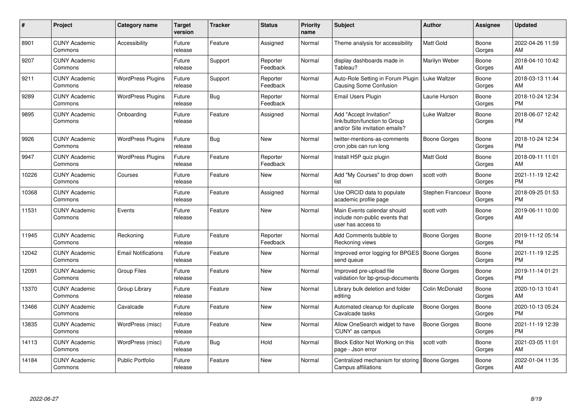| #     | Project                         | <b>Category name</b>       | <b>Target</b><br>version | <b>Tracker</b> | <b>Status</b>        | <b>Priority</b><br>name | <b>Subject</b>                                                                             | <b>Author</b>       | <b>Assignee</b> | <b>Updated</b>                |
|-------|---------------------------------|----------------------------|--------------------------|----------------|----------------------|-------------------------|--------------------------------------------------------------------------------------------|---------------------|-----------------|-------------------------------|
| 8901  | <b>CUNY Academic</b><br>Commons | Accessibility              | Future<br>release        | Feature        | Assigned             | Normal                  | Theme analysis for accessibility                                                           | <b>Matt Gold</b>    | Boone<br>Gorges | 2022-04-26 11:59<br>AM        |
| 9207  | <b>CUNY Academic</b><br>Commons |                            | Future<br>release        | Support        | Reporter<br>Feedback | Normal                  | display dashboards made in<br>Tableau?                                                     | Marilyn Weber       | Boone<br>Gorges | 2018-04-10 10:42<br>AM        |
| 9211  | <b>CUNY Academic</b><br>Commons | <b>WordPress Plugins</b>   | Future<br>release        | Support        | Reporter<br>Feedback | Normal                  | Auto-Role Setting in Forum Plugin<br>Causing Some Confusion                                | Luke Waltzer        | Boone<br>Gorges | 2018-03-13 11:44<br>AM        |
| 9289  | <b>CUNY Academic</b><br>Commons | <b>WordPress Plugins</b>   | Future<br>release        | Bug            | Reporter<br>Feedback | Normal                  | Email Users Plugin                                                                         | Laurie Hurson       | Boone<br>Gorges | 2018-10-24 12:34<br><b>PM</b> |
| 9895  | <b>CUNY Academic</b><br>Commons | Onboarding                 | Future<br>release        | Feature        | Assigned             | Normal                  | Add "Accept Invitation"<br>link/button/function to Group<br>and/or Site invitation emails? | Luke Waltzer        | Boone<br>Gorges | 2018-06-07 12:42<br><b>PM</b> |
| 9926  | <b>CUNY Academic</b><br>Commons | <b>WordPress Plugins</b>   | Future<br>release        | Bug            | <b>New</b>           | Normal                  | twitter-mentions-as-comments<br>cron jobs can run long                                     | Boone Gorges        | Boone<br>Gorges | 2018-10-24 12:34<br><b>PM</b> |
| 9947  | <b>CUNY Academic</b><br>Commons | <b>WordPress Plugins</b>   | Future<br>release        | Feature        | Reporter<br>Feedback | Normal                  | Install H5P quiz plugin                                                                    | <b>Matt Gold</b>    | Boone<br>Gorges | 2018-09-11 11:01<br>AM        |
| 10226 | <b>CUNY Academic</b><br>Commons | Courses                    | Future<br>release        | Feature        | <b>New</b>           | Normal                  | Add "My Courses" to drop down<br>list                                                      | scott voth          | Boone<br>Gorges | 2021-11-19 12:42<br><b>PM</b> |
| 10368 | <b>CUNY Academic</b><br>Commons |                            | Future<br>release        | Feature        | Assigned             | Normal                  | Use ORCID data to populate<br>academic profile page                                        | Stephen Francoeur   | Boone<br>Gorges | 2018-09-25 01:53<br><b>PM</b> |
| 11531 | <b>CUNY Academic</b><br>Commons | Events                     | Future<br>release        | Feature        | <b>New</b>           | Normal                  | Main Events calendar should<br>include non-public events that<br>user has access to        | scott voth          | Boone<br>Gorges | 2019-06-11 10:00<br>AM        |
| 11945 | <b>CUNY Academic</b><br>Commons | Reckoning                  | Future<br>release        | Feature        | Reporter<br>Feedback | Normal                  | Add Comments bubble to<br>Reckoning views                                                  | Boone Gorges        | Boone<br>Gorges | 2019-11-12 05:14<br><b>PM</b> |
| 12042 | <b>CUNY Academic</b><br>Commons | <b>Email Notifications</b> | Future<br>release        | Feature        | <b>New</b>           | Normal                  | Improved error logging for BPGES   Boone Gorges<br>send queue                              |                     | Boone<br>Gorges | 2021-11-19 12:25<br><b>PM</b> |
| 12091 | <b>CUNY Academic</b><br>Commons | <b>Group Files</b>         | Future<br>release        | Feature        | <b>New</b>           | Normal                  | Improved pre-upload file<br>validation for bp-group-documents                              | <b>Boone Gorges</b> | Boone<br>Gorges | 2019-11-14 01:21<br><b>PM</b> |
| 13370 | <b>CUNY Academic</b><br>Commons | Group Library              | Future<br>release        | Feature        | <b>New</b>           | Normal                  | Library bulk deletion and folder<br>editing                                                | Colin McDonald      | Boone<br>Gorges | 2020-10-13 10:41<br>AM        |
| 13466 | <b>CUNY Academic</b><br>Commons | Cavalcade                  | Future<br>release        | Feature        | <b>New</b>           | Normal                  | Automated cleanup for duplicate<br>Cavalcade tasks                                         | <b>Boone Gorges</b> | Boone<br>Gorges | 2020-10-13 05:24<br><b>PM</b> |
| 13835 | <b>CUNY Academic</b><br>Commons | WordPress (misc)           | Future<br>release        | Feature        | <b>New</b>           | Normal                  | Allow OneSearch widget to have<br>'CUNY' as campus                                         | <b>Boone Gorges</b> | Boone<br>Gorges | 2021-11-19 12:39<br><b>PM</b> |
| 14113 | <b>CUNY Academic</b><br>Commons | WordPress (misc)           | Future<br>release        | <b>Bug</b>     | Hold                 | Normal                  | Block Editor Not Working on this<br>page - Json error                                      | scott voth          | Boone<br>Gorges | 2021-03-05 11:01<br>AM        |
| 14184 | <b>CUNY Academic</b><br>Commons | <b>Public Portfolio</b>    | Future<br>release        | Feature        | <b>New</b>           | Normal                  | Centralized mechanism for storing<br>Campus affiliations                                   | Boone Gorges        | Boone<br>Gorges | 2022-01-04 11:35<br>AM        |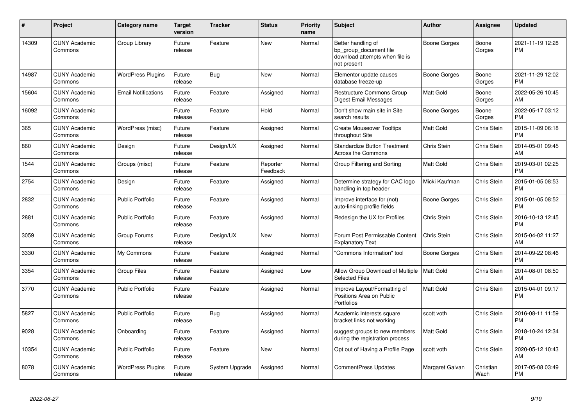| $\#$  | Project                         | <b>Category name</b>       | <b>Target</b><br>version | <b>Tracker</b> | <b>Status</b>        | <b>Priority</b><br>name | <b>Subject</b>                                                                                | <b>Author</b>       | <b>Assignee</b>    | <b>Updated</b>                |
|-------|---------------------------------|----------------------------|--------------------------|----------------|----------------------|-------------------------|-----------------------------------------------------------------------------------------------|---------------------|--------------------|-------------------------------|
| 14309 | <b>CUNY Academic</b><br>Commons | Group Library              | Future<br>release        | Feature        | <b>New</b>           | Normal                  | Better handling of<br>bp group document file<br>download attempts when file is<br>not present | <b>Boone Gorges</b> | Boone<br>Gorges    | 2021-11-19 12:28<br><b>PM</b> |
| 14987 | <b>CUNY Academic</b><br>Commons | <b>WordPress Plugins</b>   | Future<br>release        | Bug            | <b>New</b>           | Normal                  | Elementor update causes<br>database freeze-up                                                 | Boone Gorges        | Boone<br>Gorges    | 2021-11-29 12:02<br><b>PM</b> |
| 15604 | <b>CUNY Academic</b><br>Commons | <b>Email Notifications</b> | Future<br>release        | Feature        | Assigned             | Normal                  | Restructure Commons Group<br><b>Digest Email Messages</b>                                     | Matt Gold           | Boone<br>Gorges    | 2022-05-26 10:45<br>AM        |
| 16092 | <b>CUNY Academic</b><br>Commons |                            | Future<br>release        | Feature        | Hold                 | Normal                  | Don't show main site in Site<br>search results                                                | Boone Gorges        | Boone<br>Gorges    | 2022-05-17 03:12<br><b>PM</b> |
| 365   | <b>CUNY Academic</b><br>Commons | WordPress (misc)           | Future<br>release        | Feature        | Assigned             | Normal                  | <b>Create Mouseover Tooltips</b><br>throughout Site                                           | Matt Gold           | Chris Stein        | 2015-11-09 06:18<br><b>PM</b> |
| 860   | <b>CUNY Academic</b><br>Commons | Design                     | Future<br>release        | Design/UX      | Assigned             | Normal                  | <b>Standardize Button Treatment</b><br>Across the Commons                                     | Chris Stein         | Chris Stein        | 2014-05-01 09:45<br>AM        |
| 1544  | <b>CUNY Academic</b><br>Commons | Groups (misc)              | Future<br>release        | Feature        | Reporter<br>Feedback | Normal                  | Group Filtering and Sorting                                                                   | Matt Gold           | <b>Chris Stein</b> | 2019-03-01 02:25<br><b>PM</b> |
| 2754  | <b>CUNY Academic</b><br>Commons | Design                     | Future<br>release        | Feature        | Assigned             | Normal                  | Determine strategy for CAC logo<br>handling in top header                                     | Micki Kaufman       | Chris Stein        | 2015-01-05 08:53<br><b>PM</b> |
| 2832  | <b>CUNY Academic</b><br>Commons | <b>Public Portfolio</b>    | Future<br>release        | Feature        | Assigned             | Normal                  | Improve interface for (not)<br>auto-linking profile fields                                    | Boone Gorges        | Chris Stein        | 2015-01-05 08:52<br><b>PM</b> |
| 2881  | <b>CUNY Academic</b><br>Commons | <b>Public Portfolio</b>    | Future<br>release        | Feature        | Assigned             | Normal                  | Redesign the UX for Profiles                                                                  | Chris Stein         | Chris Stein        | 2016-10-13 12:45<br><b>PM</b> |
| 3059  | <b>CUNY Academic</b><br>Commons | Group Forums               | Future<br>release        | Design/UX      | <b>New</b>           | Normal                  | Forum Post Permissable Content<br><b>Explanatory Text</b>                                     | Chris Stein         | Chris Stein        | 2015-04-02 11:27<br>AM        |
| 3330  | <b>CUNY Academic</b><br>Commons | My Commons                 | Future<br>release        | Feature        | Assigned             | Normal                  | 'Commons Information" tool                                                                    | Boone Gorges        | <b>Chris Stein</b> | 2014-09-22 08:46<br>PM        |
| 3354  | <b>CUNY Academic</b><br>Commons | Group Files                | Future<br>release        | Feature        | Assigned             | Low                     | Allow Group Download of Multiple<br><b>Selected Files</b>                                     | Matt Gold           | Chris Stein        | 2014-08-01 08:50<br>AM        |
| 3770  | <b>CUNY Academic</b><br>Commons | <b>Public Portfolio</b>    | Future<br>release        | Feature        | Assigned             | Normal                  | Improve Layout/Formatting of<br>Positions Area on Public<br>Portfolios                        | Matt Gold           | Chris Stein        | 2015-04-01 09:17<br><b>PM</b> |
| 5827  | <b>CUNY Academic</b><br>Commons | <b>Public Portfolio</b>    | Future<br>release        | <b>Bug</b>     | Assigned             | Normal                  | Academic Interests square<br>bracket links not working                                        | scott voth          | Chris Stein        | 2016-08-11 11:59<br><b>PM</b> |
| 9028  | <b>CUNY Academic</b><br>Commons | Onboarding                 | Future<br>release        | Feature        | Assigned             | Normal                  | suggest groups to new members<br>during the registration process                              | Matt Gold           | Chris Stein        | 2018-10-24 12:34<br><b>PM</b> |
| 10354 | <b>CUNY Academic</b><br>Commons | <b>Public Portfolio</b>    | Future<br>release        | Feature        | New                  | Normal                  | Opt out of Having a Profile Page                                                              | scott voth          | Chris Stein        | 2020-05-12 10:43<br>AM        |
| 8078  | <b>CUNY Academic</b><br>Commons | <b>WordPress Plugins</b>   | Future<br>release        | System Upgrade | Assigned             | Normal                  | <b>CommentPress Updates</b>                                                                   | Margaret Galvan     | Christian<br>Wach  | 2017-05-08 03:49<br><b>PM</b> |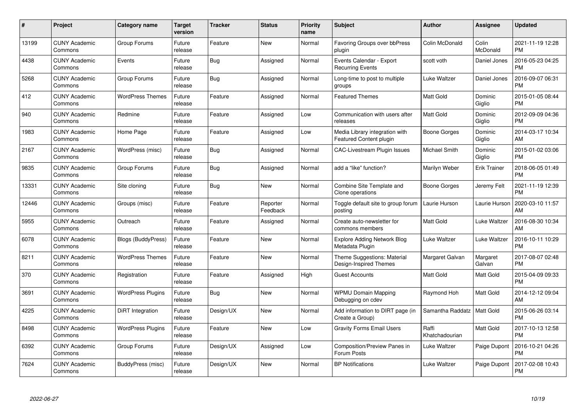| $\#$  | Project                         | <b>Category name</b>     | <b>Target</b><br>version | <b>Tracker</b> | <b>Status</b>        | <b>Priority</b><br>name | <b>Subject</b>                                            | Author                  | <b>Assignee</b>     | <b>Updated</b>                |
|-------|---------------------------------|--------------------------|--------------------------|----------------|----------------------|-------------------------|-----------------------------------------------------------|-------------------------|---------------------|-------------------------------|
| 13199 | <b>CUNY Academic</b><br>Commons | Group Forums             | Future<br>release        | Feature        | <b>New</b>           | Normal                  | Favoring Groups over bbPress<br>plugin                    | Colin McDonald          | Colin<br>McDonald   | 2021-11-19 12:28<br><b>PM</b> |
| 4438  | <b>CUNY Academic</b><br>Commons | Events                   | Future<br>release        | Bug            | Assigned             | Normal                  | Events Calendar - Export<br><b>Recurring Events</b>       | scott voth              | Daniel Jones        | 2016-05-23 04:25<br><b>PM</b> |
| 5268  | <b>CUNY Academic</b><br>Commons | Group Forums             | Future<br>release        | <b>Bug</b>     | Assigned             | Normal                  | Long-time to post to multiple<br>groups                   | Luke Waltzer            | Daniel Jones        | 2016-09-07 06:31<br><b>PM</b> |
| 412   | <b>CUNY Academic</b><br>Commons | <b>WordPress Themes</b>  | Future<br>release        | Feature        | Assigned             | Normal                  | <b>Featured Themes</b>                                    | <b>Matt Gold</b>        | Dominic<br>Giglio   | 2015-01-05 08:44<br><b>PM</b> |
| 940   | <b>CUNY Academic</b><br>Commons | Redmine                  | Future<br>release        | Feature        | Assigned             | Low                     | Communication with users after<br>releases                | <b>Matt Gold</b>        | Dominic<br>Giglio   | 2012-09-09 04:36<br><b>PM</b> |
| 1983  | <b>CUNY Academic</b><br>Commons | Home Page                | Future<br>release        | Feature        | Assigned             | Low                     | Media Library integration with<br>Featured Content plugin | Boone Gorges            | Dominic<br>Giglio   | 2014-03-17 10:34<br>AM        |
| 2167  | <b>CUNY Academic</b><br>Commons | WordPress (misc)         | Future<br>release        | Bug            | Assigned             | Normal                  | <b>CAC-Livestream Plugin Issues</b>                       | Michael Smith           | Dominic<br>Giglio   | 2015-01-02 03:06<br><b>PM</b> |
| 9835  | <b>CUNY Academic</b><br>Commons | Group Forums             | Future<br>release        | <b>Bug</b>     | Assigned             | Normal                  | add a "like" function?                                    | Marilyn Weber           | <b>Erik Trainer</b> | 2018-06-05 01:49<br><b>PM</b> |
| 13331 | <b>CUNY Academic</b><br>Commons | Site cloning             | Future<br>release        | <b>Bug</b>     | <b>New</b>           | Normal                  | Combine Site Template and<br>Clone operations             | Boone Gorges            | Jeremy Felt         | 2021-11-19 12:39<br><b>PM</b> |
| 12446 | <b>CUNY Academic</b><br>Commons | Groups (misc)            | Future<br>release        | Feature        | Reporter<br>Feedback | Normal                  | Toggle default site to group forum<br>posting             | Laurie Hurson           | Laurie Hurson       | 2020-03-10 11:57<br>AM        |
| 5955  | <b>CUNY Academic</b><br>Commons | Outreach                 | Future<br>release        | Feature        | Assigned             | Normal                  | Create auto-newsletter for<br>commons members             | Matt Gold               | Luke Waltzer        | 2016-08-30 10:34<br>AM        |
| 6078  | <b>CUNY Academic</b><br>Commons | Blogs (BuddyPress)       | Future<br>release        | Feature        | <b>New</b>           | Normal                  | <b>Explore Adding Network Blog</b><br>Metadata Plugin     | Luke Waltzer            | Luke Waltzer        | 2016-10-11 10:29<br><b>PM</b> |
| 8211  | <b>CUNY Academic</b><br>Commons | <b>WordPress Themes</b>  | Future<br>release        | Feature        | New                  | Normal                  | Theme Suggestions: Material<br>Design-Inspired Themes     | Margaret Galvan         | Margaret<br>Galvan  | 2017-08-07 02:48<br><b>PM</b> |
| 370   | <b>CUNY Academic</b><br>Commons | Registration             | Future<br>release        | Feature        | Assigned             | High                    | <b>Guest Accounts</b>                                     | Matt Gold               | Matt Gold           | 2015-04-09 09:33<br><b>PM</b> |
| 3691  | <b>CUNY Academic</b><br>Commons | <b>WordPress Plugins</b> | Future<br>release        | <b>Bug</b>     | <b>New</b>           | Normal                  | <b>WPMU Domain Mapping</b><br>Debugging on cdev           | Raymond Hoh             | Matt Gold           | 2014-12-12 09:04<br>AM        |
| 4225  | <b>CUNY Academic</b><br>Commons | DiRT Integration         | Future<br>release        | Design/UX      | <b>New</b>           | Normal                  | Add information to DIRT page (in<br>Create a Group)       | Samantha Raddatz        | <b>Matt Gold</b>    | 2015-06-26 03:14<br><b>PM</b> |
| 8498  | <b>CUNY Academic</b><br>Commons | WordPress Plugins        | Future<br>release        | Feature        | New                  | Low                     | <b>Gravity Forms Email Users</b>                          | Raffi<br>Khatchadourian | Matt Gold           | 2017-10-13 12:58<br><b>PM</b> |
| 6392  | <b>CUNY Academic</b><br>Commons | Group Forums             | Future<br>release        | Design/UX      | Assigned             | Low                     | Composition/Preview Panes in<br>Forum Posts               | Luke Waltzer            | Paige Dupont        | 2016-10-21 04:26<br><b>PM</b> |
| 7624  | CUNY Academic<br>Commons        | BuddyPress (misc)        | Future<br>release        | Design/UX      | <b>New</b>           | Normal                  | <b>BP Notifications</b>                                   | Luke Waltzer            | Paige Dupont        | 2017-02-08 10:43<br>PM        |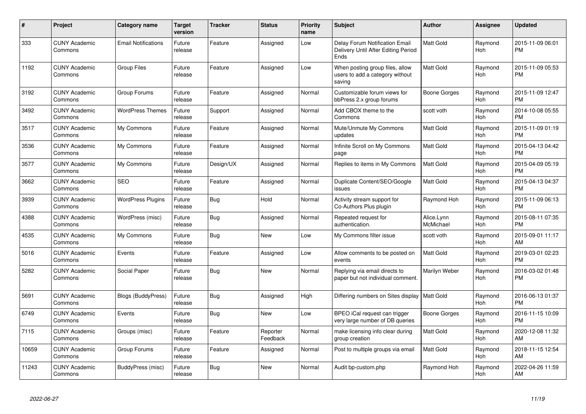| #     | <b>Project</b>                  | <b>Category name</b>       | <b>Target</b><br>version | <b>Tracker</b> | <b>Status</b>        | <b>Priority</b><br>name | <b>Subject</b>                                                                | <b>Author</b>           | <b>Assignee</b>       | <b>Updated</b>                |
|-------|---------------------------------|----------------------------|--------------------------|----------------|----------------------|-------------------------|-------------------------------------------------------------------------------|-------------------------|-----------------------|-------------------------------|
| 333   | <b>CUNY Academic</b><br>Commons | <b>Email Notifications</b> | Future<br>release        | Feature        | Assigned             | Low                     | Delay Forum Notification Email<br>Delivery Until After Editing Period<br>Ends | Matt Gold               | Raymond<br>Hoh        | 2015-11-09 06:01<br><b>PM</b> |
| 1192  | <b>CUNY Academic</b><br>Commons | <b>Group Files</b>         | Future<br>release        | Feature        | Assigned             | Low                     | When posting group files, allow<br>users to add a category without<br>saving  | Matt Gold               | Raymond<br><b>Hoh</b> | 2015-11-09 05:53<br><b>PM</b> |
| 3192  | <b>CUNY Academic</b><br>Commons | Group Forums               | Future<br>release        | Feature        | Assigned             | Normal                  | Customizable forum views for<br>bbPress 2.x group forums                      | Boone Gorges            | Raymond<br>Hoh        | 2015-11-09 12:47<br><b>PM</b> |
| 3492  | <b>CUNY Academic</b><br>Commons | <b>WordPress Themes</b>    | Future<br>release        | Support        | Assigned             | Normal                  | Add CBOX theme to the<br>Commons                                              | scott voth              | Raymond<br>Hoh        | 2014-10-08 05:55<br><b>PM</b> |
| 3517  | <b>CUNY Academic</b><br>Commons | My Commons                 | Future<br>release        | Feature        | Assigned             | Normal                  | Mute/Unmute My Commons<br>updates                                             | Matt Gold               | Raymond<br>Hoh        | 2015-11-09 01:19<br><b>PM</b> |
| 3536  | <b>CUNY Academic</b><br>Commons | My Commons                 | Future<br>release        | Feature        | Assigned             | Normal                  | Infinite Scroll on My Commons<br>page                                         | Matt Gold               | Raymond<br>Hoh        | 2015-04-13 04:42<br><b>PM</b> |
| 3577  | <b>CUNY Academic</b><br>Commons | My Commons                 | Future<br>release        | Design/UX      | Assigned             | Normal                  | Replies to items in My Commons                                                | Matt Gold               | Raymond<br><b>Hoh</b> | 2015-04-09 05:19<br><b>PM</b> |
| 3662  | <b>CUNY Academic</b><br>Commons | <b>SEO</b>                 | Future<br>release        | Feature        | Assigned             | Normal                  | Duplicate Content/SEO/Google<br>issues                                        | Matt Gold               | Raymond<br><b>Hoh</b> | 2015-04-13 04:37<br><b>PM</b> |
| 3939  | <b>CUNY Academic</b><br>Commons | <b>WordPress Plugins</b>   | Future<br>release        | <b>Bug</b>     | Hold                 | Normal                  | Activity stream support for<br>Co-Authors Plus plugin                         | Raymond Hoh             | Raymond<br><b>Hoh</b> | 2015-11-09 06:13<br><b>PM</b> |
| 4388  | <b>CUNY Academic</b><br>Commons | WordPress (misc)           | Future<br>release        | Bug            | Assigned             | Normal                  | Repeated request for<br>authentication.                                       | Alice.Lynn<br>McMichael | Raymond<br>Hoh        | 2015-08-11 07:35<br><b>PM</b> |
| 4535  | <b>CUNY Academic</b><br>Commons | My Commons                 | Future<br>release        | Bug            | New                  | Low                     | My Commons filter issue                                                       | scott voth              | Raymond<br>Hoh        | 2015-09-01 11:17<br>AM        |
| 5016  | <b>CUNY Academic</b><br>Commons | Events                     | Future<br>release        | Feature        | Assigned             | Low                     | Allow comments to be posted on<br>events                                      | Matt Gold               | Raymond<br>Hoh        | 2019-03-01 02:23<br><b>PM</b> |
| 5282  | <b>CUNY Academic</b><br>Commons | Social Paper               | Future<br>release        | <b>Bug</b>     | <b>New</b>           | Normal                  | Replying via email directs to<br>paper but not individual comment.            | Marilyn Weber           | Raymond<br>Hoh        | 2016-03-02 01:48<br><b>PM</b> |
| 5691  | <b>CUNY Academic</b><br>Commons | <b>Blogs (BuddyPress)</b>  | Future<br>release        | Bug            | Assigned             | High                    | Differing numbers on Sites display   Matt Gold                                |                         | Raymond<br><b>Hoh</b> | 2016-06-13 01:37<br><b>PM</b> |
| 6749  | <b>CUNY Academic</b><br>Commons | Events                     | Future<br>release        | Bug            | New                  | Low                     | BPEO iCal request can trigger<br>very large number of DB queries              | Boone Gorges            | Raymond<br><b>Hoh</b> | 2016-11-15 10:09<br><b>PM</b> |
| 7115  | <b>CUNY Academic</b><br>Commons | Groups (misc)              | Future<br>release        | Feature        | Reporter<br>Feedback | Normal                  | make licensing info clear during<br>group creation                            | Matt Gold               | Raymond<br>Hoh        | 2020-12-08 11:32<br>AM        |
| 10659 | <b>CUNY Academic</b><br>Commons | Group Forums               | Future<br>release        | Feature        | Assigned             | Normal                  | Post to multiple groups via email                                             | Matt Gold               | Raymond<br>Hoh        | 2018-11-15 12:54<br>AM        |
| 11243 | <b>CUNY Academic</b><br>Commons | BuddyPress (misc)          | Future<br>release        | <b>Bug</b>     | <b>New</b>           | Normal                  | Audit bp-custom.php                                                           | Raymond Hoh             | Raymond<br>Hoh        | 2022-04-26 11:59<br>AM        |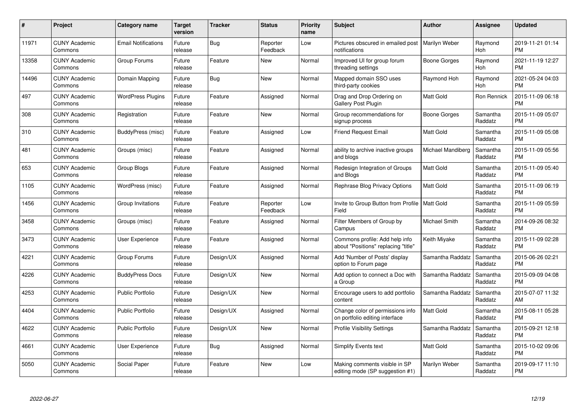| $\#$  | Project                         | <b>Category name</b>       | <b>Target</b><br>version | <b>Tracker</b> | <b>Status</b>        | <b>Priority</b><br>name | <b>Subject</b>                                                        | Author            | <b>Assignee</b>       | <b>Updated</b>                |
|-------|---------------------------------|----------------------------|--------------------------|----------------|----------------------|-------------------------|-----------------------------------------------------------------------|-------------------|-----------------------|-------------------------------|
| 11971 | <b>CUNY Academic</b><br>Commons | <b>Email Notifications</b> | Future<br>release        | <b>Bug</b>     | Reporter<br>Feedback | Low                     | Pictures obscured in emailed post<br>notifications                    | Marilyn Weber     | Raymond<br>Hoh        | 2019-11-21 01:14<br><b>PM</b> |
| 13358 | <b>CUNY Academic</b><br>Commons | Group Forums               | Future<br>release        | Feature        | New                  | Normal                  | Improved UI for group forum<br>threading settings                     | Boone Gorges      | Raymond<br><b>Hoh</b> | 2021-11-19 12:27<br><b>PM</b> |
| 14496 | <b>CUNY Academic</b><br>Commons | Domain Mapping             | Future<br>release        | <b>Bug</b>     | <b>New</b>           | Normal                  | Mapped domain SSO uses<br>third-party cookies                         | Raymond Hoh       | Raymond<br><b>Hoh</b> | 2021-05-24 04:03<br><b>PM</b> |
| 497   | <b>CUNY Academic</b><br>Commons | <b>WordPress Plugins</b>   | Future<br>release        | Feature        | Assigned             | Normal                  | Drag and Drop Ordering on<br>Gallery Post Plugin                      | Matt Gold         | Ron Rennick           | 2015-11-09 06:18<br><b>PM</b> |
| 308   | <b>CUNY Academic</b><br>Commons | Registration               | Future<br>release        | Feature        | <b>New</b>           | Normal                  | Group recommendations for<br>signup process                           | Boone Gorges      | Samantha<br>Raddatz   | 2015-11-09 05:07<br><b>PM</b> |
| 310   | <b>CUNY Academic</b><br>Commons | <b>BuddyPress (misc)</b>   | Future<br>release        | Feature        | Assigned             | Low                     | <b>Friend Request Email</b>                                           | <b>Matt Gold</b>  | Samantha<br>Raddatz   | 2015-11-09 05:08<br><b>PM</b> |
| 481   | <b>CUNY Academic</b><br>Commons | Groups (misc)              | Future<br>release        | Feature        | Assigned             | Normal                  | ability to archive inactive groups<br>and blogs                       | Michael Mandiberg | Samantha<br>Raddatz   | 2015-11-09 05:56<br><b>PM</b> |
| 653   | <b>CUNY Academic</b><br>Commons | Group Blogs                | Future<br>release        | Feature        | Assigned             | Normal                  | Redesign Integration of Groups<br>and Blogs                           | <b>Matt Gold</b>  | Samantha<br>Raddatz   | 2015-11-09 05:40<br><b>PM</b> |
| 1105  | <b>CUNY Academic</b><br>Commons | WordPress (misc)           | Future<br>release        | Feature        | Assigned             | Normal                  | Rephrase Blog Privacy Options                                         | <b>Matt Gold</b>  | Samantha<br>Raddatz   | 2015-11-09 06:19<br><b>PM</b> |
| 1456  | <b>CUNY Academic</b><br>Commons | Group Invitations          | Future<br>release        | Feature        | Reporter<br>Feedback | Low                     | Invite to Group Button from Profile   Matt Gold<br>Field              |                   | Samantha<br>Raddatz   | 2015-11-09 05:59<br><b>PM</b> |
| 3458  | <b>CUNY Academic</b><br>Commons | Groups (misc)              | Future<br>release        | Feature        | Assigned             | Normal                  | Filter Members of Group by<br>Campus                                  | Michael Smith     | Samantha<br>Raddatz   | 2014-09-26 08:32<br><b>PM</b> |
| 3473  | <b>CUNY Academic</b><br>Commons | User Experience            | Future<br>release        | Feature        | Assigned             | Normal                  | Commons profile: Add help info<br>about "Positions" replacing "title" | Keith Miyake      | Samantha<br>Raddatz   | 2015-11-09 02:28<br><b>PM</b> |
| 4221  | <b>CUNY Academic</b><br>Commons | Group Forums               | Future<br>release        | Design/UX      | Assigned             | Normal                  | Add 'Number of Posts' display<br>option to Forum page                 | Samantha Raddatz  | Samantha<br>Raddatz   | 2015-06-26 02:21<br><b>PM</b> |
| 4226  | <b>CUNY Academic</b><br>Commons | <b>BuddyPress Docs</b>     | Future<br>release        | Design/UX      | <b>New</b>           | Normal                  | Add option to connect a Doc with<br>a Group                           | Samantha Raddatz  | Samantha<br>Raddatz   | 2015-09-09 04:08<br><b>PM</b> |
| 4253  | <b>CUNY Academic</b><br>Commons | <b>Public Portfolio</b>    | Future<br>release        | Design/UX      | <b>New</b>           | Normal                  | Encourage users to add portfolio<br>content                           | Samantha Raddatz  | Samantha<br>Raddatz   | 2015-07-07 11:32<br>AM        |
| 4404  | <b>CUNY Academic</b><br>Commons | <b>Public Portfolio</b>    | Future<br>release        | Design/UX      | Assigned             | Normal                  | Change color of permissions info<br>on portfolio editing interface    | <b>Matt Gold</b>  | Samantha<br>Raddatz   | 2015-08-11 05:28<br><b>PM</b> |
| 4622  | <b>CUNY Academic</b><br>Commons | <b>Public Portfolio</b>    | Future<br>release        | Design/UX      | New                  | Normal                  | <b>Profile Visibility Settings</b>                                    | Samantha Raddatz  | Samantha<br>Raddatz   | 2015-09-21 12:18<br><b>PM</b> |
| 4661  | <b>CUNY Academic</b><br>Commons | User Experience            | Future<br>release        | Bug            | Assigned             | Normal                  | <b>Simplify Events text</b>                                           | <b>Matt Gold</b>  | Samantha<br>Raddatz   | 2015-10-02 09:06<br><b>PM</b> |
| 5050  | CUNY Academic<br>Commons        | Social Paper               | Future<br>release        | Feature        | <b>New</b>           | Low                     | Making comments visible in SP<br>editing mode (SP suggestion #1)      | Marilyn Weber     | Samantha<br>Raddatz   | 2019-09-17 11:10<br>PM        |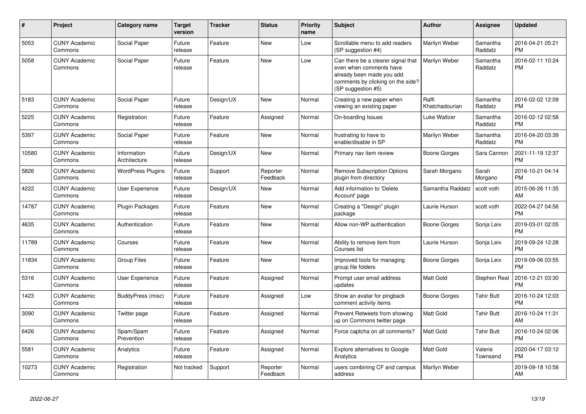| #     | Project                         | <b>Category name</b>        | <b>Target</b><br>version | <b>Tracker</b> | <b>Status</b>        | <b>Priority</b><br>name | <b>Subject</b>                                                                                                                                        | <b>Author</b>           | <b>Assignee</b>     | <b>Updated</b>                |
|-------|---------------------------------|-----------------------------|--------------------------|----------------|----------------------|-------------------------|-------------------------------------------------------------------------------------------------------------------------------------------------------|-------------------------|---------------------|-------------------------------|
| 5053  | <b>CUNY Academic</b><br>Commons | Social Paper                | Future<br>release        | Feature        | <b>New</b>           | Low                     | Scrollable menu to add readers<br>(SP suggestion #4)                                                                                                  | Marilyn Weber           | Samantha<br>Raddatz | 2016-04-21 05:21<br><b>PM</b> |
| 5058  | <b>CUNY Academic</b><br>Commons | Social Paper                | Future<br>release        | Feature        | <b>New</b>           | Low                     | Can there be a clearer signal that<br>even when comments have<br>already been made you add<br>comments by clicking on the side?<br>(SP suggestion #5) | Marilyn Weber           | Samantha<br>Raddatz | 2016-02-11 10:24<br>PM        |
| 5183  | <b>CUNY Academic</b><br>Commons | Social Paper                | Future<br>release        | Design/UX      | <b>New</b>           | Normal                  | Creating a new paper when<br>viewing an existing paper                                                                                                | Raffi<br>Khatchadourian | Samantha<br>Raddatz | 2016-02-02 12:09<br><b>PM</b> |
| 5225  | <b>CUNY Academic</b><br>Commons | Registration                | Future<br>release        | Feature        | Assigned             | Normal                  | On-boarding Issues                                                                                                                                    | Luke Waltzer            | Samantha<br>Raddatz | 2016-02-12 02:58<br><b>PM</b> |
| 5397  | <b>CUNY Academic</b><br>Commons | Social Paper                | Future<br>release        | Feature        | <b>New</b>           | Normal                  | frustrating to have to<br>enable/disable in SP                                                                                                        | Marilyn Weber           | Samantha<br>Raddatz | 2016-04-20 03:39<br>РM        |
| 10580 | <b>CUNY Academic</b><br>Commons | Information<br>Architecture | Future<br>release        | Design/UX      | <b>New</b>           | Normal                  | Primary nav item review                                                                                                                               | Boone Gorges            | Sara Cannon         | 2021-11-19 12:37<br>PM        |
| 5826  | <b>CUNY Academic</b><br>Commons | <b>WordPress Plugins</b>    | Future<br>release        | Support        | Reporter<br>Feedback | Normal                  | <b>Remove Subscription Options</b><br>plugin from directory                                                                                           | Sarah Morgano           | Sarah<br>Morgano    | 2016-10-21 04:14<br>PМ        |
| 4222  | <b>CUNY Academic</b><br>Commons | User Experience             | Future<br>release        | Design/UX      | New                  | Normal                  | Add information to 'Delete<br>Account' page                                                                                                           | Samantha Raddatz        | scott voth          | 2015-06-26 11:35<br>AM        |
| 14787 | <b>CUNY Academic</b><br>Commons | Plugin Packages             | Future<br>release        | Feature        | <b>New</b>           | Normal                  | Creating a "Design" plugin<br>package                                                                                                                 | Laurie Hurson           | scott voth          | 2022-04-27 04:56<br><b>PM</b> |
| 4635  | <b>CUNY Academic</b><br>Commons | Authentication              | Future<br>release        | Feature        | <b>New</b>           | Normal                  | Allow non-WP authentication                                                                                                                           | Boone Gorges            | Sonja Leix          | 2019-03-01 02:05<br><b>PM</b> |
| 11789 | <b>CUNY Academic</b><br>Commons | Courses                     | Future<br>release        | Feature        | <b>New</b>           | Normal                  | Ability to remove item from<br>Courses list                                                                                                           | Laurie Hurson           | Sonja Leix          | 2019-09-24 12:28<br>PM        |
| 11834 | <b>CUNY Academic</b><br>Commons | <b>Group Files</b>          | Future<br>release        | Feature        | <b>New</b>           | Normal                  | Improved tools for managing<br>group file folders                                                                                                     | Boone Gorges            | Sonja Leix          | 2019-09-06 03:55<br><b>PM</b> |
| 5316  | <b>CUNY Academic</b><br>Commons | User Experience             | Future<br>release        | Feature        | Assigned             | Normal                  | Prompt user email address<br>updates                                                                                                                  | Matt Gold               | Stephen Real        | 2016-12-21 03:30<br>PM        |
| 1423  | <b>CUNY Academic</b><br>Commons | BuddyPress (misc)           | Future<br>release        | Feature        | Assigned             | Low                     | Show an avatar for pingback<br>comment activity items                                                                                                 | <b>Boone Gorges</b>     | <b>Tahir Butt</b>   | 2016-10-24 12:03<br>PM        |
| 3090  | <b>CUNY Academic</b><br>Commons | Twitter page                | Future<br>release        | Feature        | Assigned             | Normal                  | Prevent Retweets from showing<br>up on Commons twitter page                                                                                           | Matt Gold               | <b>Tahir Butt</b>   | 2016-10-24 11:31<br>AM        |
| 6426  | <b>CUNY Academic</b><br>Commons | Spam/Spam<br>Prevention     | Future<br>release        | Feature        | Assigned             | Normal                  | Force captcha on all comments?                                                                                                                        | Matt Gold               | <b>Tahir Butt</b>   | 2016-10-24 02:06<br><b>PM</b> |
| 5581  | <b>CUNY Academic</b><br>Commons | Analytics                   | Future<br>release        | Feature        | Assigned             | Normal                  | <b>Explore alternatives to Google</b><br>Analytics                                                                                                    | Matt Gold               | Valerie<br>Townsend | 2020-04-17 03:12<br><b>PM</b> |
| 10273 | <b>CUNY Academic</b><br>Commons | Registration                | Not tracked              | Support        | Reporter<br>Feedback | Normal                  | users combining CF and campus<br>address                                                                                                              | Marilyn Weber           |                     | 2019-09-18 10:58<br>AM        |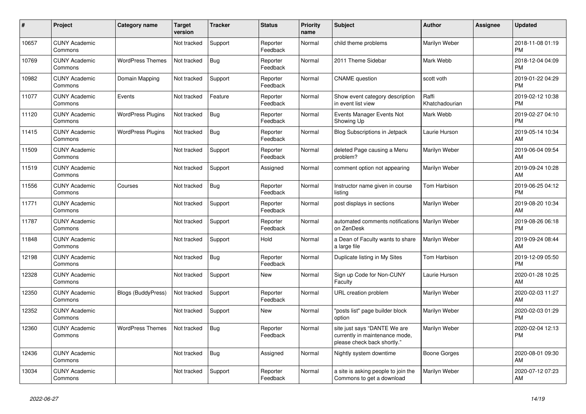| #     | Project                         | <b>Category name</b>      | Target<br>version | <b>Tracker</b> | <b>Status</b>        | <b>Priority</b><br>name | <b>Subject</b>                                                                                | <b>Author</b>           | <b>Assignee</b> | <b>Updated</b>                |
|-------|---------------------------------|---------------------------|-------------------|----------------|----------------------|-------------------------|-----------------------------------------------------------------------------------------------|-------------------------|-----------------|-------------------------------|
| 10657 | <b>CUNY Academic</b><br>Commons |                           | Not tracked       | Support        | Reporter<br>Feedback | Normal                  | child theme problems                                                                          | Marilyn Weber           |                 | 2018-11-08 01:19<br><b>PM</b> |
| 10769 | <b>CUNY Academic</b><br>Commons | <b>WordPress Themes</b>   | Not tracked       | <b>Bug</b>     | Reporter<br>Feedback | Normal                  | 2011 Theme Sidebar                                                                            | Mark Webb               |                 | 2018-12-04 04:09<br><b>PM</b> |
| 10982 | <b>CUNY Academic</b><br>Commons | Domain Mapping            | Not tracked       | Support        | Reporter<br>Feedback | Normal                  | <b>CNAME</b> question                                                                         | scott voth              |                 | 2019-01-22 04:29<br><b>PM</b> |
| 11077 | <b>CUNY Academic</b><br>Commons | Events                    | Not tracked       | Feature        | Reporter<br>Feedback | Normal                  | Show event category description<br>in event list view                                         | Raffi<br>Khatchadourian |                 | 2019-02-12 10:38<br><b>PM</b> |
| 11120 | <b>CUNY Academic</b><br>Commons | <b>WordPress Plugins</b>  | Not tracked       | Bug            | Reporter<br>Feedback | Normal                  | Events Manager Events Not<br>Showing Up                                                       | Mark Webb               |                 | 2019-02-27 04:10<br><b>PM</b> |
| 11415 | <b>CUNY Academic</b><br>Commons | <b>WordPress Plugins</b>  | Not tracked       | <b>Bug</b>     | Reporter<br>Feedback | Normal                  | Blog Subscriptions in Jetpack                                                                 | Laurie Hurson           |                 | 2019-05-14 10:34<br>AM        |
| 11509 | <b>CUNY Academic</b><br>Commons |                           | Not tracked       | Support        | Reporter<br>Feedback | Normal                  | deleted Page causing a Menu<br>problem?                                                       | Marilyn Weber           |                 | 2019-06-04 09:54<br>AM        |
| 11519 | <b>CUNY Academic</b><br>Commons |                           | Not tracked       | Support        | Assigned             | Normal                  | comment option not appearing                                                                  | Marilyn Weber           |                 | 2019-09-24 10:28<br>AM        |
| 11556 | <b>CUNY Academic</b><br>Commons | Courses                   | Not tracked       | Bug            | Reporter<br>Feedback | Normal                  | Instructor name given in course<br>listing                                                    | Tom Harbison            |                 | 2019-06-25 04:12<br><b>PM</b> |
| 11771 | <b>CUNY Academic</b><br>Commons |                           | Not tracked       | Support        | Reporter<br>Feedback | Normal                  | post displays in sections                                                                     | Marilyn Weber           |                 | 2019-08-20 10:34<br>AM        |
| 11787 | <b>CUNY Academic</b><br>Commons |                           | Not tracked       | Support        | Reporter<br>Feedback | Normal                  | automated comments notifications   Marilyn Weber<br>on ZenDesk                                |                         |                 | 2019-08-26 06:18<br><b>PM</b> |
| 11848 | <b>CUNY Academic</b><br>Commons |                           | Not tracked       | Support        | Hold                 | Normal                  | a Dean of Faculty wants to share<br>a large file                                              | Marilyn Weber           |                 | 2019-09-24 08:44<br>AM        |
| 12198 | <b>CUNY Academic</b><br>Commons |                           | Not tracked       | <b>Bug</b>     | Reporter<br>Feedback | Normal                  | Duplicate listing in My Sites                                                                 | Tom Harbison            |                 | 2019-12-09 05:50<br><b>PM</b> |
| 12328 | <b>CUNY Academic</b><br>Commons |                           | Not tracked       | Support        | <b>New</b>           | Normal                  | Sign up Code for Non-CUNY<br>Faculty                                                          | Laurie Hurson           |                 | 2020-01-28 10:25<br>AM        |
| 12350 | <b>CUNY Academic</b><br>Commons | <b>Blogs (BuddyPress)</b> | Not tracked       | Support        | Reporter<br>Feedback | Normal                  | URL creation problem                                                                          | Marilyn Weber           |                 | 2020-02-03 11:27<br>AM        |
| 12352 | <b>CUNY Academic</b><br>Commons |                           | Not tracked       | Support        | New                  | Normal                  | "posts list" page builder block<br>option                                                     | Marilyn Weber           |                 | 2020-02-03 01:29<br><b>PM</b> |
| 12360 | <b>CUNY Academic</b><br>Commons | <b>WordPress Themes</b>   | Not tracked       | <b>Bug</b>     | Reporter<br>Feedback | Normal                  | site just says "DANTE We are<br>currently in maintenance mode,<br>please check back shortly." | Marilyn Weber           |                 | 2020-02-04 12:13<br><b>PM</b> |
| 12436 | <b>CUNY Academic</b><br>Commons |                           | Not tracked       | <b>Bug</b>     | Assigned             | Normal                  | Nightly system downtime                                                                       | Boone Gorges            |                 | 2020-08-01 09:30<br>AM        |
| 13034 | <b>CUNY Academic</b><br>Commons |                           | Not tracked       | Support        | Reporter<br>Feedback | Normal                  | a site is asking people to join the<br>Commons to get a download                              | Marilyn Weber           |                 | 2020-07-12 07:23<br>AM        |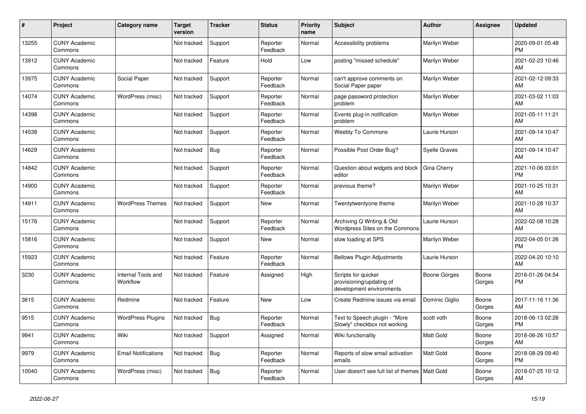| #     | Project                         | <b>Category name</b>           | <b>Target</b><br>version | <b>Tracker</b> | <b>Status</b>        | <b>Priority</b><br>name | <b>Subject</b>                                                              | <b>Author</b>        | <b>Assignee</b> | <b>Updated</b>                |
|-------|---------------------------------|--------------------------------|--------------------------|----------------|----------------------|-------------------------|-----------------------------------------------------------------------------|----------------------|-----------------|-------------------------------|
| 13255 | <b>CUNY Academic</b><br>Commons |                                | Not tracked              | Support        | Reporter<br>Feedback | Normal                  | Accessibility problems                                                      | Marilyn Weber        |                 | 2020-09-01 05:48<br><b>PM</b> |
| 13912 | <b>CUNY Academic</b><br>Commons |                                | Not tracked              | Feature        | Hold                 | Low                     | posting "missed schedule"                                                   | Marilyn Weber        |                 | 2021-02-23 10:46<br>AM        |
| 13975 | <b>CUNY Academic</b><br>Commons | Social Paper                   | Not tracked              | Support        | Reporter<br>Feedback | Normal                  | can't approve comments on<br>Social Paper paper                             | Marilyn Weber        |                 | 2021-02-12 09:33<br>AM        |
| 14074 | <b>CUNY Academic</b><br>Commons | WordPress (misc)               | Not tracked              | Support        | Reporter<br>Feedback | Normal                  | page password protection<br>problem                                         | Marilyn Weber        |                 | 2021-03-02 11:03<br>AM        |
| 14398 | <b>CUNY Academic</b><br>Commons |                                | Not tracked              | Support        | Reporter<br>Feedback | Normal                  | Events plug-in notification<br>problem                                      | Marilyn Weber        |                 | 2021-05-11 11:21<br>AM        |
| 14538 | <b>CUNY Academic</b><br>Commons |                                | Not tracked              | Support        | Reporter<br>Feedback | Normal                  | <b>Weebly To Commons</b>                                                    | Laurie Hurson        |                 | 2021-09-14 10:47<br>AM        |
| 14629 | <b>CUNY Academic</b><br>Commons |                                | Not tracked              | Bug            | Reporter<br>Feedback | Normal                  | Possible Post Order Bug?                                                    | <b>Syelle Graves</b> |                 | 2021-09-14 10:47<br>AM        |
| 14842 | <b>CUNY Academic</b><br>Commons |                                | Not tracked              | Support        | Reporter<br>Feedback | Normal                  | Question about widgets and block<br>editor                                  | Gina Cherry          |                 | 2021-10-06 03:01<br><b>PM</b> |
| 14900 | <b>CUNY Academic</b><br>Commons |                                | Not tracked              | Support        | Reporter<br>Feedback | Normal                  | previous theme?                                                             | Marilyn Weber        |                 | 2021-10-25 10:31<br>AM        |
| 14911 | <b>CUNY Academic</b><br>Commons | <b>WordPress Themes</b>        | Not tracked              | Support        | <b>New</b>           | Normal                  | Twentytwentyone theme                                                       | Marilyn Weber        |                 | 2021-10-28 10:37<br>AM        |
| 15176 | <b>CUNY Academic</b><br>Commons |                                | Not tracked              | Support        | Reporter<br>Feedback | Normal                  | Archiving Q Writing & Old<br>Wordpress Sites on the Commons                 | Laurie Hurson        |                 | 2022-02-08 10:28<br>AM        |
| 15816 | <b>CUNY Academic</b><br>Commons |                                | Not tracked              | Support        | <b>New</b>           | Normal                  | slow loading at SPS                                                         | Marilyn Weber        |                 | 2022-04-05 01:26<br><b>PM</b> |
| 15923 | <b>CUNY Academic</b><br>Commons |                                | Not tracked              | Feature        | Reporter<br>Feedback | Normal                  | <b>Bellows Plugin Adjustments</b>                                           | Laurie Hurson        |                 | 2022-04-20 10:10<br>AM        |
| 3230  | <b>CUNY Academic</b><br>Commons | Internal Tools and<br>Workflow | Not tracked              | Feature        | Assigned             | High                    | Scripts for quicker<br>provisioning/updating of<br>development environments | <b>Boone Gorges</b>  | Boone<br>Gorges | 2016-01-26 04:54<br><b>PM</b> |
| 3615  | <b>CUNY Academic</b><br>Commons | Redmine                        | Not tracked              | Feature        | <b>New</b>           | Low                     | Create Redmine issues via email                                             | Dominic Giglio       | Boone<br>Gorges | 2017-11-16 11:36<br>AM        |
| 9515  | <b>CUNY Academic</b><br>Commons | <b>WordPress Plugins</b>       | Not tracked              | <b>Bug</b>     | Reporter<br>Feedback | Normal                  | Text to Speech plugin - "More<br>Slowly" checkbox not working               | scott voth           | Boone<br>Gorges | 2018-06-13 02:26<br><b>PM</b> |
| 9941  | <b>CUNY Academic</b><br>Commons | Wiki                           | Not tracked              | Support        | Assigned             | Normal                  | Wiki functionality                                                          | Matt Gold            | Boone<br>Gorges | 2018-06-26 10:57<br>AM        |
| 9979  | <b>CUNY Academic</b><br>Commons | <b>Email Notifications</b>     | Not tracked              | Bug            | Reporter<br>Feedback | Normal                  | Reports of slow email activation<br>emails                                  | Matt Gold            | Boone<br>Gorges | 2018-08-29 09:40<br><b>PM</b> |
| 10040 | <b>CUNY Academic</b><br>Commons | WordPress (misc)               | Not tracked              | Bug            | Reporter<br>Feedback | Normal                  | User doesn't see full list of themes                                        | Matt Gold            | Boone<br>Gorges | 2018-07-25 10:12<br>AM        |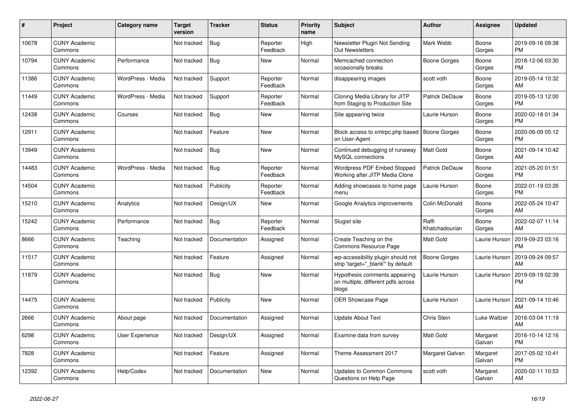| #     | <b>Project</b>                  | Category name     | <b>Target</b><br>version | Tracker       | <b>Status</b>        | <b>Priority</b><br>name | <b>Subject</b>                                                               | <b>Author</b>           | Assignee           | <b>Updated</b>                |
|-------|---------------------------------|-------------------|--------------------------|---------------|----------------------|-------------------------|------------------------------------------------------------------------------|-------------------------|--------------------|-------------------------------|
| 10678 | <b>CUNY Academic</b><br>Commons |                   | Not tracked              | <b>Bug</b>    | Reporter<br>Feedback | High                    | Newsletter Plugin Not Sending<br><b>Out Newsletters</b>                      | Mark Webb               | Boone<br>Gorges    | 2019-09-16 09:38<br><b>PM</b> |
| 10794 | <b>CUNY Academic</b><br>Commons | Performance       | Not tracked              | <b>Bug</b>    | <b>New</b>           | Normal                  | Memcached connection<br>occasionally breaks                                  | <b>Boone Gorges</b>     | Boone<br>Gorges    | 2018-12-06 03:30<br><b>PM</b> |
| 11386 | <b>CUNY Academic</b><br>Commons | WordPress - Media | Not tracked              | Support       | Reporter<br>Feedback | Normal                  | disappearing images                                                          | scott voth              | Boone<br>Gorges    | 2019-05-14 10:32<br>AM        |
| 11449 | <b>CUNY Academic</b><br>Commons | WordPress - Media | Not tracked              | Support       | Reporter<br>Feedback | Normal                  | Cloning Media Library for JITP<br>from Staging to Production Site            | <b>Patrick DeDauw</b>   | Boone<br>Gorges    | 2019-05-13 12:00<br><b>PM</b> |
| 12438 | <b>CUNY Academic</b><br>Commons | Courses           | Not tracked              | <b>Bug</b>    | <b>New</b>           | Normal                  | Site appearing twice                                                         | Laurie Hurson           | Boone<br>Gorges    | 2020-02-18 01:34<br><b>PM</b> |
| 12911 | <b>CUNY Academic</b><br>Commons |                   | Not tracked              | Feature       | New                  | Normal                  | Block access to xmlrpc.php based<br>on User-Agent                            | <b>Boone Gorges</b>     | Boone<br>Gorges    | 2020-06-09 05:12<br><b>PM</b> |
| 13949 | <b>CUNY Academic</b><br>Commons |                   | Not tracked              | Bug           | <b>New</b>           | Normal                  | Continued debugging of runaway<br>MySQL connections                          | Matt Gold               | Boone<br>Gorges    | 2021-09-14 10:42<br>AM        |
| 14483 | <b>CUNY Academic</b><br>Commons | WordPress - Media | Not tracked              | <b>Bug</b>    | Reporter<br>Feedback | Normal                  | Wordpress PDF Embed Stopped<br>Working after JITP Media Clone                | <b>Patrick DeDauw</b>   | Boone<br>Gorges    | 2021-05-20 01:51<br><b>PM</b> |
| 14504 | <b>CUNY Academic</b><br>Commons |                   | Not tracked              | Publicity     | Reporter<br>Feedback | Normal                  | Adding showcases to home page<br>menu                                        | Laurie Hurson           | Boone<br>Gorges    | 2022-01-19 03:26<br><b>PM</b> |
| 15210 | <b>CUNY Academic</b><br>Commons | Analytics         | Not tracked              | Design/UX     | <b>New</b>           | Normal                  | Google Analytics improvements                                                | Colin McDonald          | Boone<br>Gorges    | 2022-05-24 10:47<br>AM        |
| 15242 | <b>CUNY Academic</b><br>Commons | Performance       | Not tracked              | <b>Bug</b>    | Reporter<br>Feedback | Normal                  | Slugist site                                                                 | Raffi<br>Khatchadourian | Boone<br>Gorges    | 2022-02-07 11:14<br>AM        |
| 8666  | <b>CUNY Academic</b><br>Commons | Teaching          | Not tracked              | Documentation | Assigned             | Normal                  | Create Teaching on the<br>Commons Resource Page                              | Matt Gold               | Laurie Hurson      | 2019-09-23 03:16<br><b>PM</b> |
| 11517 | <b>CUNY Academic</b><br>Commons |                   | Not tracked              | Feature       | Assigned             | Normal                  | wp-accessibility plugin should not<br>strip 'target="_blank" by default      | <b>Boone Gorges</b>     | Laurie Hurson      | 2019-09-24 09:57<br>AM        |
| 11879 | <b>CUNY Academic</b><br>Commons |                   | Not tracked              | <b>Bug</b>    | <b>New</b>           | Normal                  | Hypothesis comments appearing<br>on multiple, different pdfs across<br>blogs | Laurie Hurson           | Laurie Hurson      | 2019-09-19 02:39<br><b>PM</b> |
| 14475 | <b>CUNY Academic</b><br>Commons |                   | Not tracked              | Publicity     | <b>New</b>           | Normal                  | <b>OER Showcase Page</b>                                                     | Laurie Hurson           | Laurie Hurson      | 2021-09-14 10:46<br>AM        |
| 2666  | <b>CUNY Academic</b><br>Commons | About page        | Not tracked              | Documentation | Assigned             | Normal                  | <b>Update About Text</b>                                                     | <b>Chris Stein</b>      | Luke Waltzer       | 2016-03-04 11:19<br>AM        |
| 6298  | <b>CUNY Academic</b><br>Commons | User Experience   | Not tracked              | Design/UX     | Assigned             | Normal                  | Examine data from survey                                                     | Matt Gold               | Margaret<br>Galvan | 2016-10-14 12:16<br><b>PM</b> |
| 7828  | <b>CUNY Academic</b><br>Commons |                   | Not tracked              | Feature       | Assigned             | Normal                  | Theme Assessment 2017                                                        | Margaret Galvan         | Margaret<br>Galvan | 2017-05-02 10:41<br><b>PM</b> |
| 12392 | <b>CUNY Academic</b><br>Commons | Help/Codex        | Not tracked              | Documentation | <b>New</b>           | Normal                  | Updates to Common Commons<br>Questions on Help Page                          | scott voth              | Margaret<br>Galvan | 2020-02-11 10:53<br>AM        |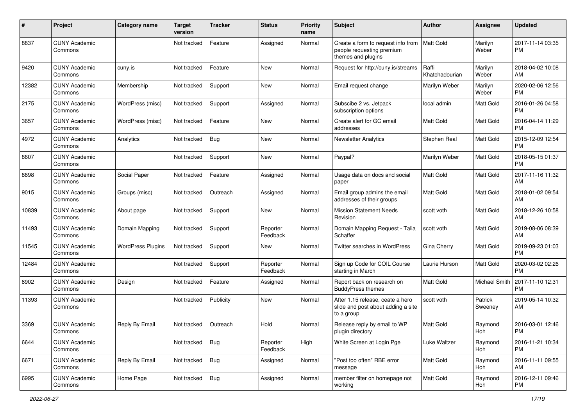| #     | Project                         | <b>Category name</b>     | <b>Target</b><br>version | <b>Tracker</b> | <b>Status</b>        | <b>Priority</b><br>name | <b>Subject</b>                                                                        | Author                  | Assignee           | <b>Updated</b>                |
|-------|---------------------------------|--------------------------|--------------------------|----------------|----------------------|-------------------------|---------------------------------------------------------------------------------------|-------------------------|--------------------|-------------------------------|
| 8837  | <b>CUNY Academic</b><br>Commons |                          | Not tracked              | Feature        | Assigned             | Normal                  | Create a form to request info from<br>people requesting premium<br>themes and plugins | <b>Matt Gold</b>        | Marilyn<br>Weber   | 2017-11-14 03:35<br><b>PM</b> |
| 9420  | <b>CUNY Academic</b><br>Commons | cuny.is                  | Not tracked              | Feature        | <b>New</b>           | Normal                  | Request for http://cuny.is/streams                                                    | Raffi<br>Khatchadourian | Marilyn<br>Weber   | 2018-04-02 10:08<br>AM        |
| 12382 | <b>CUNY Academic</b><br>Commons | Membership               | Not tracked              | Support        | New                  | Normal                  | Email request change                                                                  | Marilyn Weber           | Marilyn<br>Weber   | 2020-02-06 12:56<br><b>PM</b> |
| 2175  | <b>CUNY Academic</b><br>Commons | WordPress (misc)         | Not tracked              | Support        | Assigned             | Normal                  | Subscibe 2 vs. Jetpack<br>subscription options                                        | local admin             | Matt Gold          | 2016-01-26 04:58<br><b>PM</b> |
| 3657  | <b>CUNY Academic</b><br>Commons | WordPress (misc)         | Not tracked              | Feature        | <b>New</b>           | Normal                  | Create alert for GC email<br>addresses                                                | <b>Matt Gold</b>        | Matt Gold          | 2016-04-14 11:29<br><b>PM</b> |
| 4972  | <b>CUNY Academic</b><br>Commons | Analytics                | Not tracked              | Bug            | New                  | Normal                  | <b>Newsletter Analytics</b>                                                           | Stephen Real            | Matt Gold          | 2015-12-09 12:54<br><b>PM</b> |
| 8607  | <b>CUNY Academic</b><br>Commons |                          | Not tracked              | Support        | New                  | Normal                  | Paypal?                                                                               | Marilyn Weber           | Matt Gold          | 2018-05-15 01:37<br><b>PM</b> |
| 8898  | <b>CUNY Academic</b><br>Commons | Social Paper             | Not tracked              | Feature        | Assigned             | Normal                  | Usage data on docs and social<br>paper                                                | Matt Gold               | Matt Gold          | 2017-11-16 11:32<br>AM        |
| 9015  | <b>CUNY Academic</b><br>Commons | Groups (misc)            | Not tracked              | Outreach       | Assigned             | Normal                  | Email group admins the email<br>addresses of their groups                             | <b>Matt Gold</b>        | Matt Gold          | 2018-01-02 09:54<br>AM        |
| 10839 | <b>CUNY Academic</b><br>Commons | About page               | Not tracked              | Support        | New                  | Normal                  | <b>Mission Statement Needs</b><br>Revision                                            | scott voth              | Matt Gold          | 2018-12-26 10:58<br>AM        |
| 11493 | <b>CUNY Academic</b><br>Commons | Domain Mapping           | Not tracked              | Support        | Reporter<br>Feedback | Normal                  | Domain Mapping Request - Talia<br>Schaffer                                            | scott voth              | Matt Gold          | 2019-08-06 08:39<br>AM        |
| 11545 | <b>CUNY Academic</b><br>Commons | <b>WordPress Plugins</b> | Not tracked              | Support        | New                  | Normal                  | <b>Twitter searches in WordPress</b>                                                  | Gina Cherry             | Matt Gold          | 2019-09-23 01:03<br><b>PM</b> |
| 12484 | <b>CUNY Academic</b><br>Commons |                          | Not tracked              | Support        | Reporter<br>Feedback | Normal                  | Sign up Code for COIL Course<br>starting in March                                     | Laurie Hurson           | Matt Gold          | 2020-03-02 02:26<br><b>PM</b> |
| 8902  | <b>CUNY Academic</b><br>Commons | Design                   | Not tracked              | Feature        | Assigned             | Normal                  | Report back on research on<br><b>BuddyPress themes</b>                                | <b>Matt Gold</b>        | Michael Smith      | 2017-11-10 12:31<br><b>PM</b> |
| 11393 | <b>CUNY Academic</b><br>Commons |                          | Not tracked              | Publicity      | <b>New</b>           | Normal                  | After 1.15 release, ceate a hero<br>slide and post about adding a site<br>to a group  | scott voth              | Patrick<br>Sweeney | 2019-05-14 10:32<br>AM        |
| 3369  | <b>CUNY Academic</b><br>Commons | Reply By Email           | Not tracked              | Outreach       | Hold                 | Normal                  | Release reply by email to WP<br>plugin directory                                      | Matt Gold               | Raymond<br>Hoh     | 2016-03-01 12:46<br>PM        |
| 6644  | <b>CUNY Academic</b><br>Commons |                          | Not tracked              | Bug            | Reporter<br>Feedback | High                    | White Screen at Login Pge                                                             | Luke Waltzer            | Raymond<br>Hoh     | 2016-11-21 10:34<br><b>PM</b> |
| 6671  | <b>CUNY Academic</b><br>Commons | Reply By Email           | Not tracked              | Bug            | Assigned             | Normal                  | "Post too often" RBE error<br>message                                                 | Matt Gold               | Raymond<br>Hoh     | 2016-11-11 09:55<br>AM        |
| 6995  | <b>CUNY Academic</b><br>Commons | Home Page                | Not tracked              | Bug            | Assigned             | Normal                  | member filter on homepage not<br>working                                              | Matt Gold               | Raymond<br>Hoh     | 2016-12-11 09:46<br>PM        |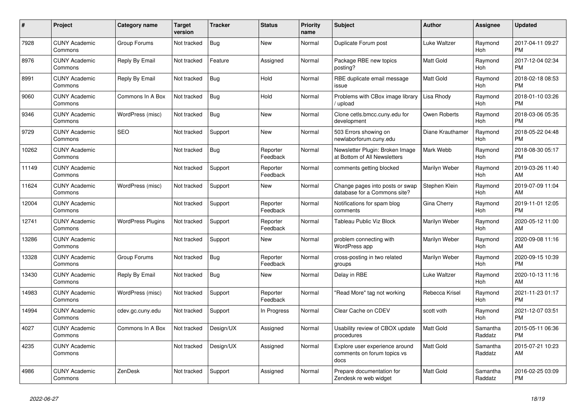| #     | Project                         | Category name            | <b>Target</b><br>version | <b>Tracker</b> | <b>Status</b>        | <b>Priority</b><br>name | <b>Subject</b>                                                        | <b>Author</b>    | <b>Assignee</b>       | <b>Updated</b>                |
|-------|---------------------------------|--------------------------|--------------------------|----------------|----------------------|-------------------------|-----------------------------------------------------------------------|------------------|-----------------------|-------------------------------|
| 7928  | <b>CUNY Academic</b><br>Commons | Group Forums             | Not tracked              | Bug            | <b>New</b>           | Normal                  | Duplicate Forum post                                                  | Luke Waltzer     | Raymond<br>Hoh        | 2017-04-11 09:27<br><b>PM</b> |
| 8976  | <b>CUNY Academic</b><br>Commons | Reply By Email           | Not tracked              | Feature        | Assigned             | Normal                  | Package RBE new topics<br>posting?                                    | <b>Matt Gold</b> | Raymond<br>Hoh        | 2017-12-04 02:34<br><b>PM</b> |
| 8991  | <b>CUNY Academic</b><br>Commons | Reply By Email           | Not tracked              | Bug            | Hold                 | Normal                  | RBE duplicate email message<br>issue                                  | Matt Gold        | Raymond<br><b>Hoh</b> | 2018-02-18 08:53<br><b>PM</b> |
| 9060  | <b>CUNY Academic</b><br>Commons | Commons In A Box         | Not tracked              | Bug            | Hold                 | Normal                  | Problems with CBox image library<br>/ upload                          | Lisa Rhody       | Raymond<br>Hoh        | 2018-01-10 03:26<br><b>PM</b> |
| 9346  | <b>CUNY Academic</b><br>Commons | WordPress (misc)         | Not tracked              | Bug            | <b>New</b>           | Normal                  | Clone cetls.bmcc.cuny.edu for<br>development                          | Owen Roberts     | Raymond<br>Hoh        | 2018-03-06 05:35<br><b>PM</b> |
| 9729  | <b>CUNY Academic</b><br>Commons | <b>SEO</b>               | Not tracked              | Support        | <b>New</b>           | Normal                  | 503 Errors showing on<br>newlaborforum.cuny.edu                       | Diane Krauthamer | Raymond<br><b>Hoh</b> | 2018-05-22 04:48<br><b>PM</b> |
| 10262 | <b>CUNY Academic</b><br>Commons |                          | Not tracked              | Bug            | Reporter<br>Feedback | Normal                  | Newsletter Plugin: Broken Image<br>at Bottom of All Newsletters       | Mark Webb        | Raymond<br>Hoh        | 2018-08-30 05:17<br><b>PM</b> |
| 11149 | <b>CUNY Academic</b><br>Commons |                          | Not tracked              | Support        | Reporter<br>Feedback | Normal                  | comments getting blocked                                              | Marilyn Weber    | Raymond<br>Hoh        | 2019-03-26 11:40<br>AM        |
| 11624 | <b>CUNY Academic</b><br>Commons | WordPress (misc)         | Not tracked              | Support        | <b>New</b>           | Normal                  | Change pages into posts or swap<br>database for a Commons site?       | Stephen Klein    | Raymond<br>Hoh        | 2019-07-09 11:04<br>AM        |
| 12004 | <b>CUNY Academic</b><br>Commons |                          | Not tracked              | Support        | Reporter<br>Feedback | Normal                  | Notifications for spam blog<br>comments                               | Gina Cherry      | Raymond<br>Hoh        | 2019-11-01 12:05<br><b>PM</b> |
| 12741 | <b>CUNY Academic</b><br>Commons | <b>WordPress Plugins</b> | Not tracked              | Support        | Reporter<br>Feedback | Normal                  | <b>Tableau Public Viz Block</b>                                       | Marilyn Weber    | Raymond<br>Hoh        | 2020-05-12 11:00<br>AM        |
| 13286 | <b>CUNY Academic</b><br>Commons |                          | Not tracked              | Support        | New                  | Normal                  | problem connecting with<br><b>WordPress app</b>                       | Marilyn Weber    | Raymond<br><b>Hoh</b> | 2020-09-08 11:16<br>AM        |
| 13328 | <b>CUNY Academic</b><br>Commons | Group Forums             | Not tracked              | Bug            | Reporter<br>Feedback | Normal                  | cross-posting in two related<br>groups                                | Marilyn Weber    | Raymond<br>Hoh        | 2020-09-15 10:39<br><b>PM</b> |
| 13430 | <b>CUNY Academic</b><br>Commons | Reply By Email           | Not tracked              | Bug            | <b>New</b>           | Normal                  | Delay in RBE                                                          | Luke Waltzer     | Raymond<br>Hoh        | 2020-10-13 11:16<br>AM        |
| 14983 | <b>CUNY Academic</b><br>Commons | WordPress (misc)         | Not tracked              | Support        | Reporter<br>Feedback | Normal                  | 'Read More" tag not working                                           | Rebecca Krisel   | Raymond<br>Hoh        | 2021-11-23 01:17<br><b>PM</b> |
| 14994 | <b>CUNY Academic</b><br>Commons | cdev.gc.cuny.edu         | Not tracked              | Support        | In Progress          | Normal                  | Clear Cache on CDEV                                                   | scott voth       | Raymond<br>Hoh        | 2021-12-07 03:51<br><b>PM</b> |
| 4027  | <b>CUNY Academic</b><br>Commons | Commons In A Box         | Not tracked              | Design/UX      | Assigned             | Normal                  | Usability review of CBOX update<br>procedures                         | Matt Gold        | Samantha<br>Raddatz   | 2015-05-11 06:36<br><b>PM</b> |
| 4235  | <b>CUNY Academic</b><br>Commons |                          | Not tracked              | Design/UX      | Assigned             | Normal                  | Explore user experience around<br>comments on forum topics vs<br>docs | Matt Gold        | Samantha<br>Raddatz   | 2015-07-21 10:23<br>AM        |
| 4986  | <b>CUNY Academic</b><br>Commons | ZenDesk                  | Not tracked              | Support        | Assigned             | Normal                  | Prepare documentation for<br>Zendesk re web widget                    | Matt Gold        | Samantha<br>Raddatz   | 2016-02-25 03:09<br><b>PM</b> |